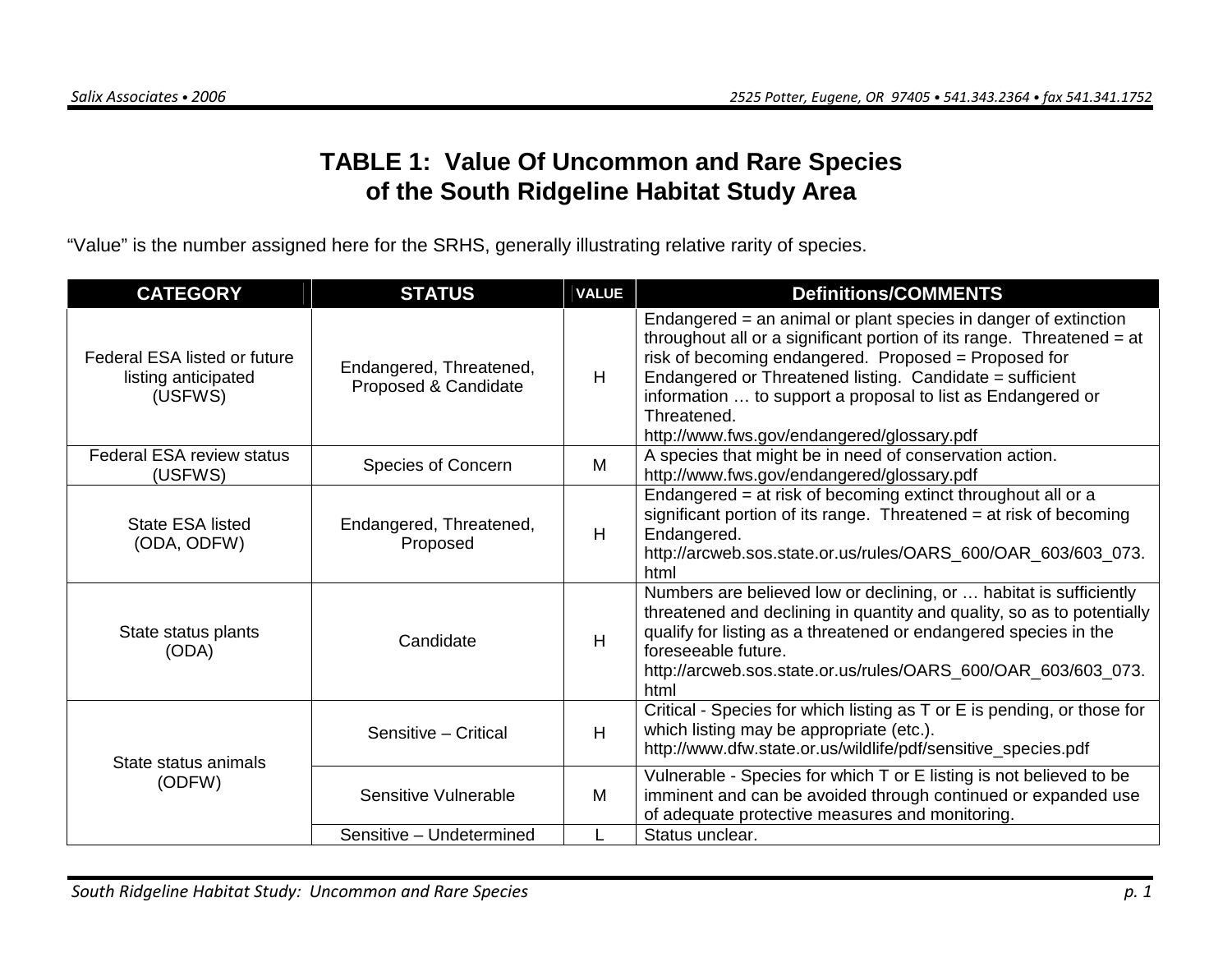# **TABLE 1: Value Of Uncommon and Rare Species of the South Ridgeline Habitat Study Area**

"Value" is the number assigned here for the SRHS, generally illustrating relative rarity of species.

| <b>CATEGORY</b>                                                | <b>STATUS</b>                                   | <b>VALUE</b> | <b>Definitions/COMMENTS</b>                                                                                                                                                                                                                                                                                                                                                              |
|----------------------------------------------------------------|-------------------------------------------------|--------------|------------------------------------------------------------------------------------------------------------------------------------------------------------------------------------------------------------------------------------------------------------------------------------------------------------------------------------------------------------------------------------------|
| Federal ESA listed or future<br>listing anticipated<br>(USFWS) | Endangered, Threatened,<br>Proposed & Candidate | H            | Endangered = an animal or plant species in danger of extinction<br>throughout all or a significant portion of its range. Threatened = at<br>risk of becoming endangered. Proposed = Proposed for<br>Endangered or Threatened listing. Candidate = sufficient<br>information  to support a proposal to list as Endangered or<br>Threatened.<br>http://www.fws.gov/endangered/glossary.pdf |
| <b>Federal ESA review status</b><br>(USFWS)                    | Species of Concern                              | M            | A species that might be in need of conservation action.<br>http://www.fws.gov/endangered/glossary.pdf                                                                                                                                                                                                                                                                                    |
| State ESA listed<br>(ODA, ODFW)                                | Endangered, Threatened,<br>Proposed             | H            | Endangered = at risk of becoming extinct throughout all or a<br>significant portion of its range. Threatened = at risk of becoming<br>Endangered.<br>http://arcweb.sos.state.or.us/rules/OARS_600/OAR_603/603_073.<br>html                                                                                                                                                               |
| State status plants<br>(ODA)                                   | Candidate                                       | H            | Numbers are believed low or declining, or  habitat is sufficiently<br>threatened and declining in quantity and quality, so as to potentially<br>qualify for listing as a threatened or endangered species in the<br>foreseeable future.<br>http://arcweb.sos.state.or.us/rules/OARS_600/OAR_603/603_073.<br>html                                                                         |
| State status animals                                           | Sensitive - Critical                            | H            | Critical - Species for which listing as T or E is pending, or those for<br>which listing may be appropriate (etc.).<br>http://www.dfw.state.or.us/wildlife/pdf/sensitive_species.pdf                                                                                                                                                                                                     |
| (ODFW)                                                         | Sensitive Vulnerable                            | M            | Vulnerable - Species for which T or E listing is not believed to be<br>imminent and can be avoided through continued or expanded use<br>of adequate protective measures and monitoring.                                                                                                                                                                                                  |
|                                                                | Sensitive - Undetermined                        |              | Status unclear.                                                                                                                                                                                                                                                                                                                                                                          |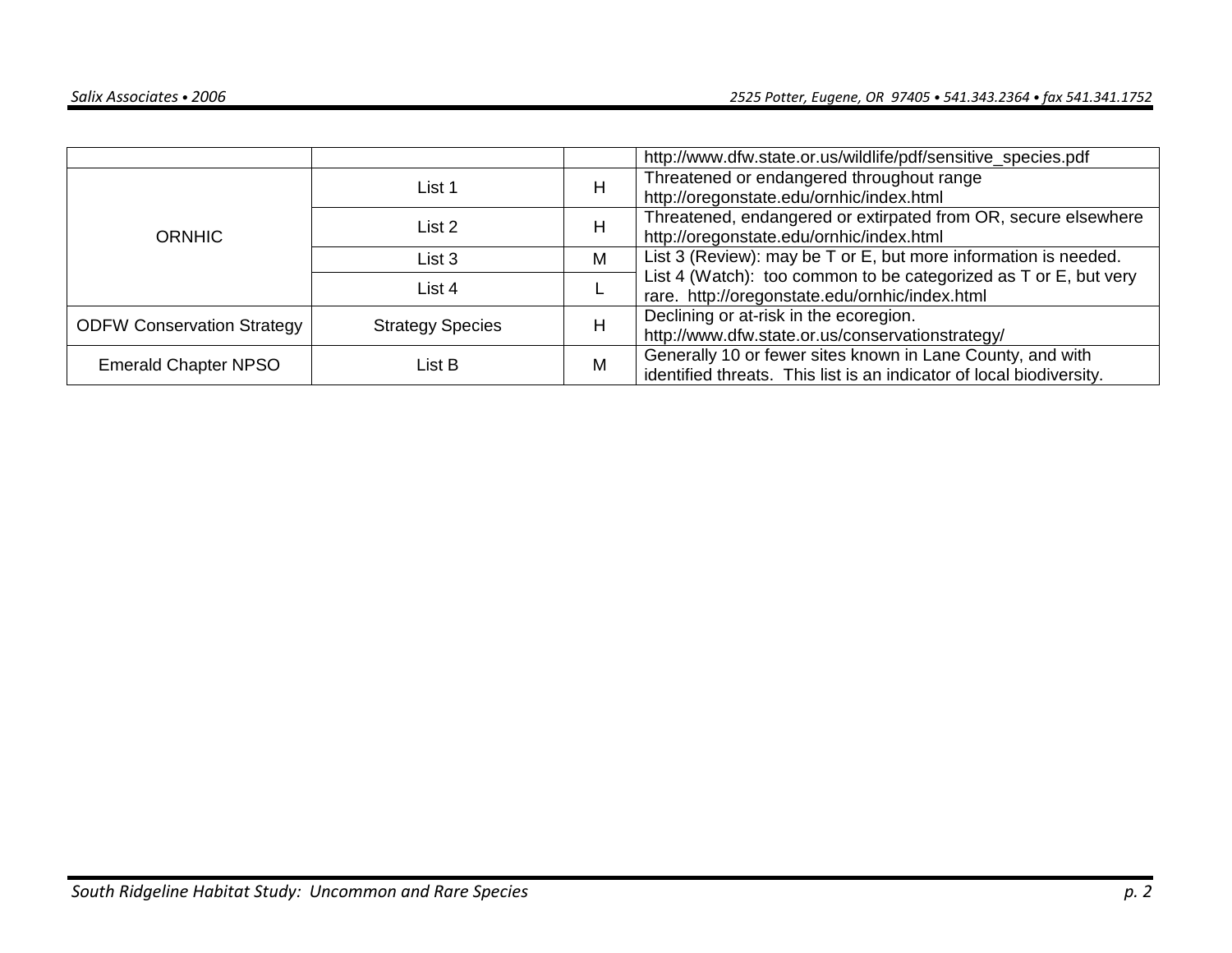|                                   |                         |   | http://www.dfw.state.or.us/wildlife/pdf/sensitive_species.pdf        |
|-----------------------------------|-------------------------|---|----------------------------------------------------------------------|
|                                   | List 1                  | H | Threatened or endangered throughout range                            |
|                                   |                         |   | http://oregonstate.edu/ornhic/index.html                             |
|                                   | List 2                  | Η | Threatened, endangered or extirpated from OR, secure elsewhere       |
| <b>ORNHIC</b>                     |                         |   | http://oregonstate.edu/ornhic/index.html                             |
|                                   | List 3                  | M | List 3 (Review): may be T or E, but more information is needed.      |
|                                   | List 4                  |   | List 4 (Watch): too common to be categorized as T or E, but very     |
|                                   |                         |   | rare. http://oregonstate.edu/ornhic/index.html                       |
| <b>ODFW Conservation Strategy</b> | <b>Strategy Species</b> | Η | Declining or at-risk in the ecoregion.                               |
|                                   |                         |   | http://www.dfw.state.or.us/conservationstrategy/                     |
| <b>Emerald Chapter NPSO</b>       | List B                  | M | Generally 10 or fewer sites known in Lane County, and with           |
|                                   |                         |   | identified threats. This list is an indicator of local biodiversity. |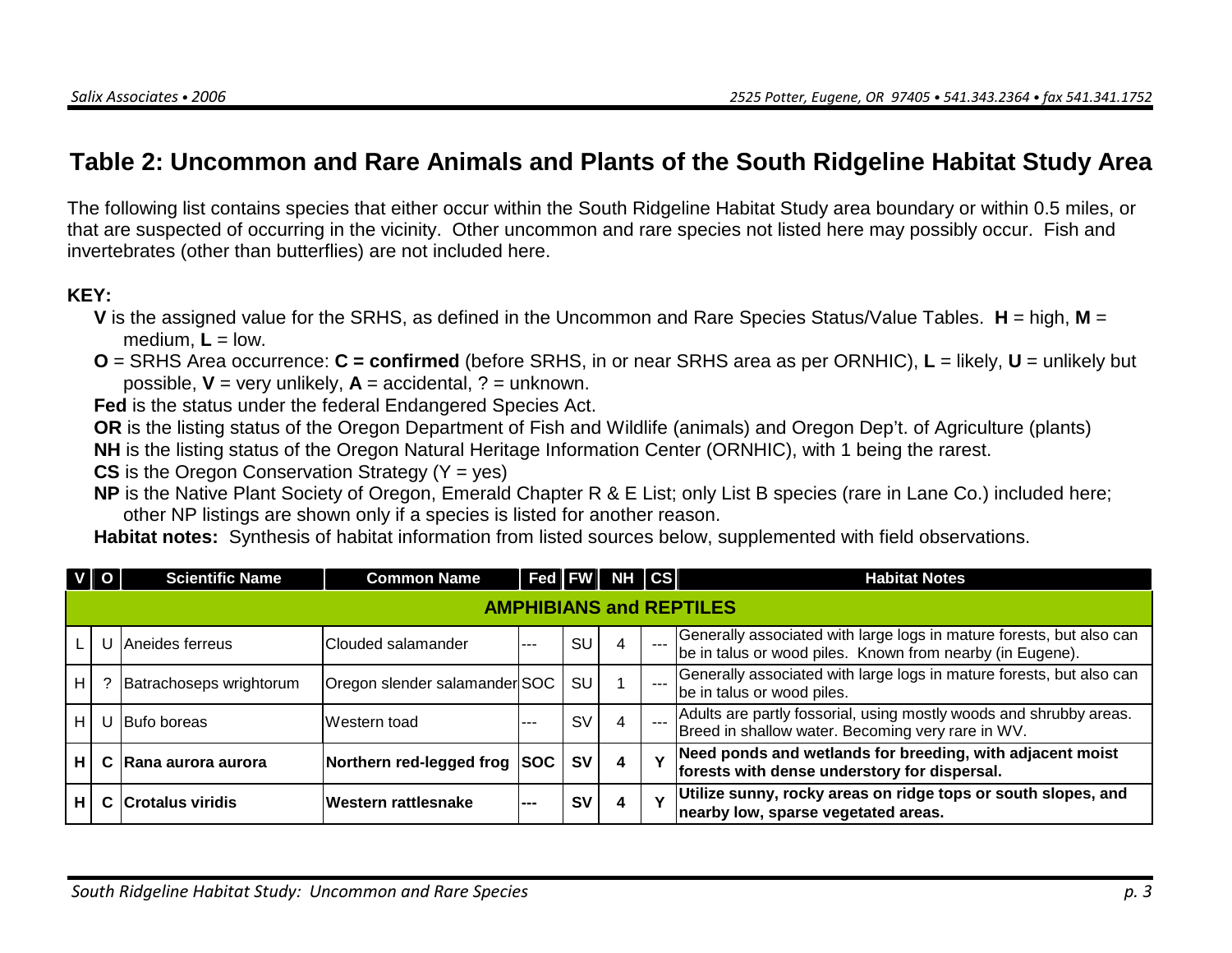# **Table 2: Uncommon and Rare Animals and Plants of the South Ridgeline Habitat Study Area**

The following list contains species that either occur within the South Ridgeline Habitat Study area boundary or within 0.5 miles, or that are suspected of occurring in the vicinity. Other uncommon and rare species not listed here may possibly occur. Fish and invertebrates (other than butterflies) are not included here.

#### **KEY:**

- **V** is the assigned value for the SRHS, as defined in the Uncommon and Rare Species Status/Value Tables. **H** = high, **M** <sup>=</sup>medium,  $L =$  low.
- **O** = SRHS Area occurrence: **C = confirmed** (before SRHS, in or near SRHS area as per ORNHIC), **L** = likely, **U** = unlikely but possible,  $V = \text{very unlikely}, A = \text{accidental}, ? = \text{unknown}.$

**Fed** is the status under the federal Endangered Species Act.

 **OR** is the listing status of the Oregon Department of Fish and Wildlife (animals) and Oregon Dep't. of Agriculture (plants) **NH** is the listing status of the Oregon Natural Heritage Information Center (ORNHIC), with 1 being the rarest.

**CS** is the Oregon Conservation Strategy (Y = yes)

 **NP** is the Native Plant Society of Oregon, Emerald Chapter R & E List; only List B species (rare in Lane Co.) included here; other NP listings are shown only if a species is listed for another reason.

**Habitat notes:** Synthesis of habitat information from listed sources below, supplemented with field observations.

|     |                                | <b>Scientific Name</b>  | <b>Common Name</b>            |             |           | $\vert$ Fed $\vert$ FW $\vert$ NH $\vert$ CS $\vert$ |  | <b>Habitat Notes</b>                                                                                                              |  |  |  |  |
|-----|--------------------------------|-------------------------|-------------------------------|-------------|-----------|------------------------------------------------------|--|-----------------------------------------------------------------------------------------------------------------------------------|--|--|--|--|
|     | <b>AMPHIBIANS and REPTILES</b> |                         |                               |             |           |                                                      |  |                                                                                                                                   |  |  |  |  |
|     |                                | Aneides ferreus         | Clouded salamander            | $-- -$      | SU        | 4                                                    |  | Generally associated with large logs in mature forests, but also can<br>be in talus or wood piles. Known from nearby (in Eugene). |  |  |  |  |
| H.  |                                | Batrachoseps wrightorum | Oregon slender salamander SOC |             | SU        |                                                      |  | Generally associated with large logs in mature forests, but also can<br>be in talus or wood piles.                                |  |  |  |  |
| H I |                                | U Bufo boreas           | Western toad                  | ---         | S٧        | 4                                                    |  | Adults are partly fossorial, using mostly woods and shrubby areas.<br>Breed in shallow water. Becoming very rare in WV.           |  |  |  |  |
| Н.  |                                | C Rana aurora aurora    | Northern red-legged frog      | <b>ISOC</b> | <b>SV</b> | 4                                                    |  | Need ponds and wetlands for breeding, with adjacent moist<br>forests with dense understory for dispersal.                         |  |  |  |  |
| н.  |                                | C Crotalus viridis      | Western rattlesnake           | ---         | S٧        | 4                                                    |  | Utilize sunny, rocky areas on ridge tops or south slopes, and<br>nearby low, sparse vegetated areas.                              |  |  |  |  |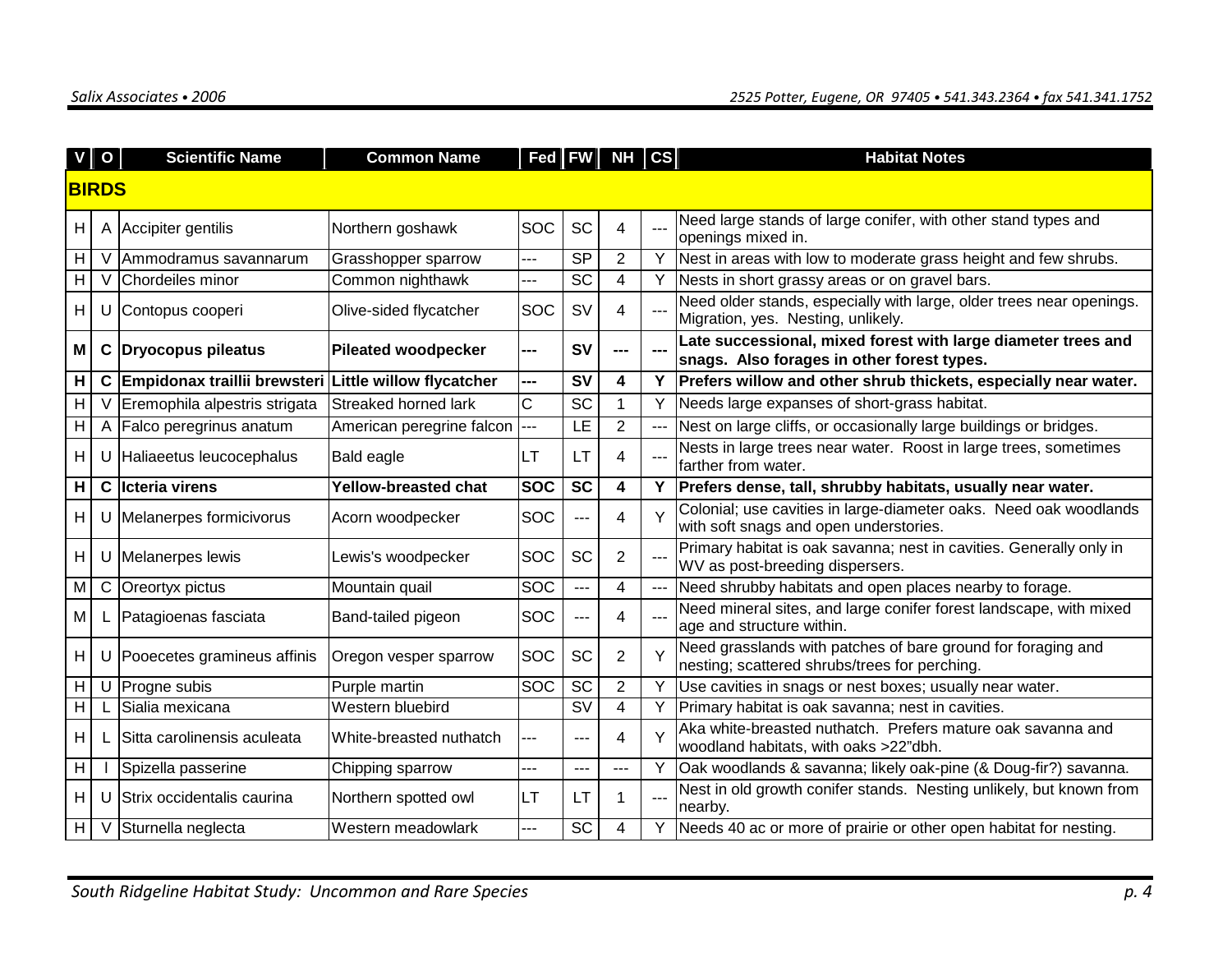|    | $\mathbf{o}$ | <b>Scientific Name</b>         | <b>Common Name</b>              |            |                          | Fed   FW   NH   CS  |       | <b>Habitat Notes</b>                                                                                         |
|----|--------------|--------------------------------|---------------------------------|------------|--------------------------|---------------------|-------|--------------------------------------------------------------------------------------------------------------|
|    | <b>BIRDS</b> |                                |                                 |            |                          |                     |       |                                                                                                              |
|    |              |                                |                                 |            |                          |                     |       |                                                                                                              |
| H  |              | A Accipiter gentilis           | Northern goshawk                | SOC        | <b>SC</b>                | 4                   |       | Need large stands of large conifer, with other stand types and<br>openings mixed in.                         |
| H. |              | Ammodramus savannarum          | Grasshopper sparrow             |            | <b>SP</b>                | $\overline{2}$      | Y     | Nest in areas with low to moderate grass height and few shrubs.                                              |
| H  | V            | Chordeiles minor               | Common nighthawk                | $---$      | SC                       | 4                   |       | Y Nests in short grassy areas or on gravel bars.                                                             |
| H. |              | U Contopus cooperi             | Olive-sided flycatcher          | <b>SOC</b> | <b>SV</b>                | 4                   |       | Need older stands, especially with large, older trees near openings.<br>Migration, yes. Nesting, unlikely.   |
| M  |              | C Dryocopus pileatus           | <b>Pileated woodpecker</b>      | ---        | <b>SV</b>                | ---                 |       | Late successional, mixed forest with large diameter trees and<br>snags. Also forages in other forest types.  |
| Н. |              | C Empidonax traillii brewsteri | <b>Little willow flycatcher</b> | ---        | <b>SV</b>                | $\overline{\bf{4}}$ |       | Prefers willow and other shrub thickets, especially near water.                                              |
| H  | V            | Eremophila alpestris strigata  | Streaked horned lark            | C          | <b>SC</b>                | $\mathbf{1}$        | Y     | Needs large expanses of short-grass habitat.                                                                 |
| H  | A            | Falco peregrinus anatum        | American peregrine falcon       | ---        | LE                       | $\overline{2}$      |       | Nest on large cliffs, or occasionally large buildings or bridges.                                            |
| H. |              | U Haliaeetus leucocephalus     | <b>Bald eagle</b>               | LТ         | LТ                       | 4                   |       | Nests in large trees near water. Roost in large trees, sometimes<br>farther from water.                      |
| H  |              | C Ilcteria virens              | Yellow-breasted chat            | <b>SOC</b> | <b>SC</b>                | 4                   | Y     | Prefers dense, tall, shrubby habitats, usually near water.                                                   |
| H  | U            | Melanerpes formicivorus        | Acorn woodpecker                | SOC        | ---                      | 4                   |       | Colonial; use cavities in large-diameter oaks. Need oak woodlands<br>with soft snags and open understories.  |
| H  |              | U Melanerpes lewis             | Lewis's woodpecker              | <b>SOC</b> | <b>SC</b>                | 2                   |       | Primary habitat is oak savanna; nest in cavities. Generally only in<br>WV as post-breeding dispersers.       |
| M  |              | C Oreortyx pictus              | Mountain quail                  | SOC        | ---                      | $\overline{4}$      | $---$ | Need shrubby habitats and open places nearby to forage.                                                      |
| M  |              | Patagioenas fasciata           | Band-tailed pigeon              | SOC        | ---                      | 4                   |       | Need mineral sites, and large conifer forest landscape, with mixed<br>age and structure within.              |
| H. |              | U Pooecetes gramineus affinis  | Oregon vesper sparrow           | SOC        | <b>SC</b>                | 2                   |       | Need grasslands with patches of bare ground for foraging and<br>nesting; scattered shrubs/trees for perching |
| H. |              | $U$ Progne subis               | Purple martin                   | SOC        | <b>SC</b>                | 2                   |       | Use cavities in snags or nest boxes; usually near water.                                                     |
| H. |              | Sialia mexicana                | Western bluebird                |            | $\overline{\mathsf{sv}}$ | 4                   |       | Primary habitat is oak savanna; nest in cavities.                                                            |
| H. |              | Sitta carolinensis aculeata    | White-breasted nuthatch         | $---$      | ---                      | 4                   |       | Aka white-breasted nuthatch. Prefers mature oak savanna and<br>woodland habitats, with oaks >22"dbh.         |
| H  |              | Spizella passerine             | Chipping sparrow                |            | ---                      | $---$               | Y     | Oak woodlands & savanna; likely oak-pine (& Doug-fir?) savanna.                                              |
| H  | U            | Strix occidentalis caurina     | Northern spotted owl            | LT         | LТ                       | 1                   |       | Nest in old growth conifer stands. Nesting unlikely, but known from<br>nearby.                               |
| H  | V            | Sturnella neglecta             | Western meadowlark              |            | $\overline{SC}$          | 4                   | Y     | Needs 40 ac or more of prairie or other open habitat for nesting.                                            |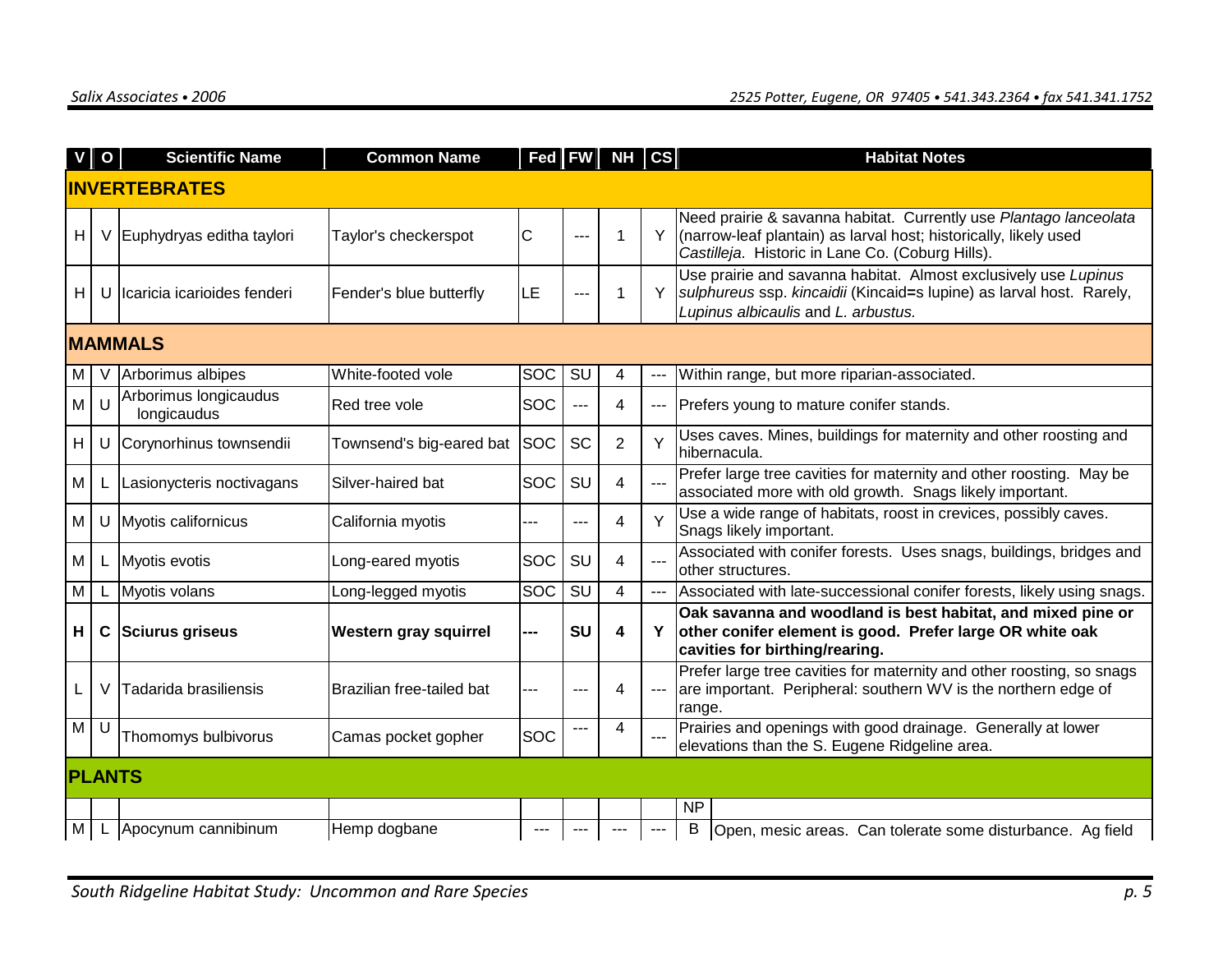|   | $V$   O        | <b>Scientific Name</b>               | <b>Common Name</b>        |            |           | $ $ Fed $ $ FW $ $ NH $ $ CS |                     | <b>Habitat Notes</b>                                                                                                                                                                      |  |  |  |
|---|----------------|--------------------------------------|---------------------------|------------|-----------|------------------------------|---------------------|-------------------------------------------------------------------------------------------------------------------------------------------------------------------------------------------|--|--|--|
|   |                | <b>INVERTEBRATES</b>                 |                           |            |           |                              |                     |                                                                                                                                                                                           |  |  |  |
| H |                | V Euphydryas editha taylori          | Taylor's checkerspot      | C          | ---       | 1                            | Y                   | Need prairie & savanna habitat. Currently use Plantago lanceolata<br>(narrow-leaf plantain) as larval host; historically, likely used<br>Castilleja. Historic in Lane Co. (Coburg Hills). |  |  |  |
| H |                | U Icaricia icarioides fenderi        | Fender's blue butterfly   | ILЕ        |           | 1                            | Y                   | Use prairie and savanna habitat. Almost exclusively use Lupinus<br>sulphureus ssp. kincaidii (Kincaid=s lupine) as larval host. Rarely,<br>Lupinus albicaulis and L. arbustus.            |  |  |  |
|   | <b>MAMMALS</b> |                                      |                           |            |           |                              |                     |                                                                                                                                                                                           |  |  |  |
| M |                | V Arborimus albipes                  | White-footed vole         | SOC        | SU        | 4                            |                     | Within range, but more riparian-associated.                                                                                                                                               |  |  |  |
| M | $\mathbf{U}$   | Arborimus longicaudus<br>longicaudus | Red tree vole             | SOC        | ---       | 4                            | ---                 | Prefers young to mature conifer stands.                                                                                                                                                   |  |  |  |
| H |                | U Corynorhinus townsendii            | Townsend's big-eared bat  | <b>SOC</b> | SC        | $\overline{2}$               | Y                   | Uses caves. Mines, buildings for maternity and other roosting and<br>hibernacula.                                                                                                         |  |  |  |
| M |                | L Lasionycteris noctivagans          | Silver-haired bat         | SOC        | SU        | 4                            |                     | Prefer large tree cavities for maternity and other roosting. May be<br>associated more with old growth. Snags likely important.                                                           |  |  |  |
| M |                | U Myotis californicus                | California myotis         |            |           | 4                            | Y                   | Use a wide range of habitats, roost in crevices, possibly caves.<br>Snags likely important.                                                                                               |  |  |  |
| M | L.             | Myotis evotis                        | Long-eared myotis         | SOC        | SU        | 4                            |                     | Associated with conifer forests. Uses snags, buildings, bridges and<br>other structures.                                                                                                  |  |  |  |
| M |                | L Myotis volans                      | Long-legged myotis        | SOC        | SU        | 4                            | $\qquad \qquad - -$ | Associated with late-successional conifer forests, likely using snags.                                                                                                                    |  |  |  |
| н |                | C Sciurus griseus                    | Western gray squirrel     | ---        | <b>SU</b> | 4                            | Y                   | Oak savanna and woodland is best habitat, and mixed pine or<br>other conifer element is good. Prefer large OR white oak<br>cavities for birthing/rearing.                                 |  |  |  |
|   | V              | Tadarida brasiliensis                | Brazilian free-tailed bat |            |           | 4                            |                     | Prefer large tree cavities for maternity and other roosting, so snags<br>are important. Peripheral: southern WV is the northern edge of<br>range.                                         |  |  |  |
| M | U              | Thomomys bulbivorus                  | Camas pocket gopher       | SOC        |           | 4                            |                     | Prairies and openings with good drainage. Generally at lower<br>elevations than the S. Eugene Ridgeline area.                                                                             |  |  |  |
|   | <b>PLANTS</b>  |                                      |                           |            |           |                              |                     |                                                                                                                                                                                           |  |  |  |
|   |                |                                      |                           |            |           |                              |                     | <b>NP</b>                                                                                                                                                                                 |  |  |  |
| M |                | L Apocynum cannibinum                | Hemp dogbane              |            |           |                              |                     | B<br>Open, mesic areas. Can tolerate some disturbance. Ag field                                                                                                                           |  |  |  |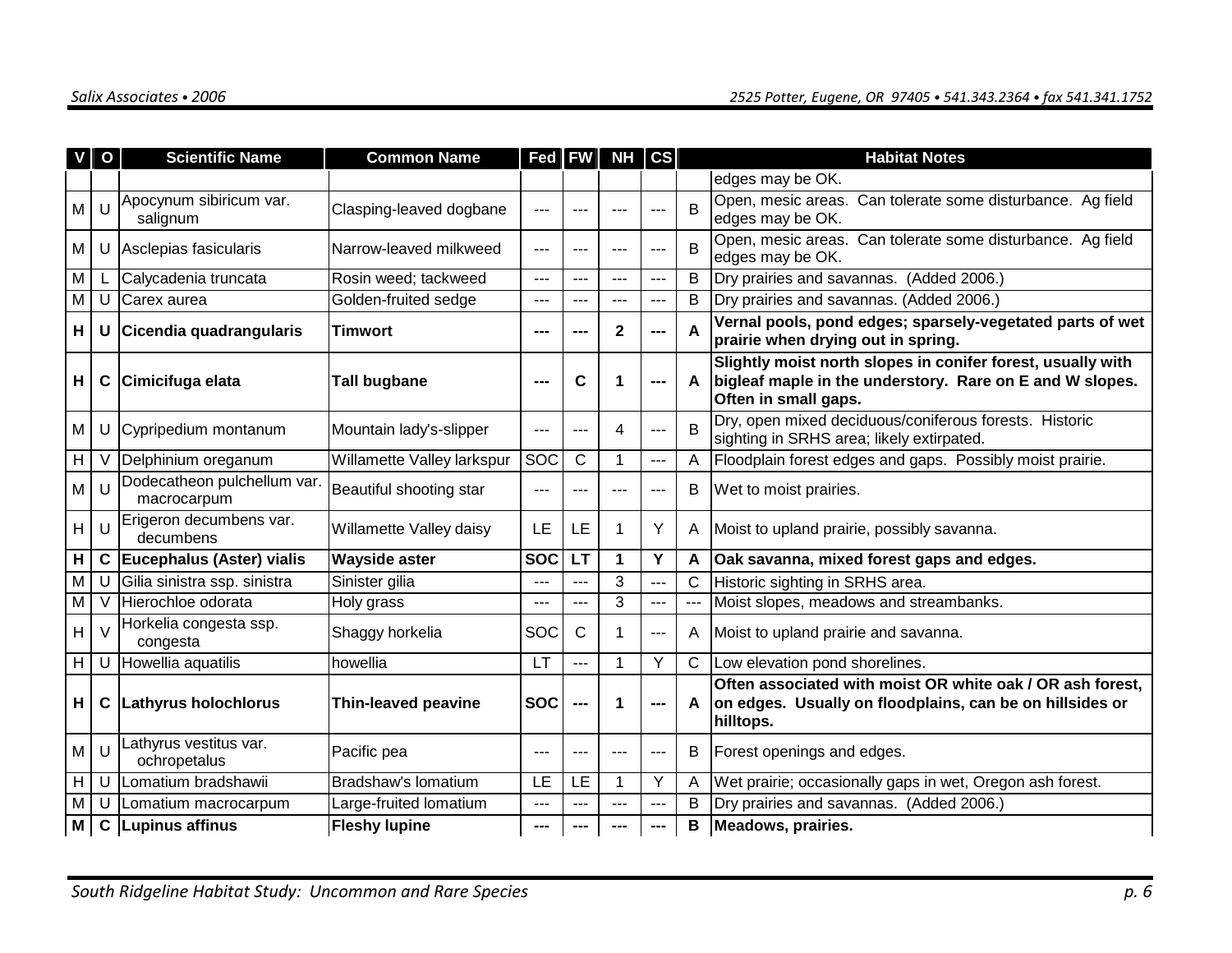| $\mathsf{V}$   | $\mathbf{o}$ | <b>Scientific Name</b>                     | <b>Common Name</b>         | Fed   FW   |              | NH           | $\csc$ |              | <b>Habitat Notes</b>                                                                                                                            |
|----------------|--------------|--------------------------------------------|----------------------------|------------|--------------|--------------|--------|--------------|-------------------------------------------------------------------------------------------------------------------------------------------------|
|                |              |                                            |                            |            |              |              |        |              | edges may be OK.                                                                                                                                |
| M              |              | Apocynum sibiricum var.<br>salignum        | Clasping-leaved dogbane    | $- -$      |              | ---          |        | B            | Open, mesic areas. Can tolerate some disturbance. Ag field<br>edges may be OK.                                                                  |
| М              |              | Asclepias fasicularis                      | Narrow-leaved milkweed     | $--$       | ---          | ---          | ---    | B            | Open, mesic areas. Can tolerate some disturbance. Ag field<br>edges may be OK.                                                                  |
| М              |              | Calycadenia truncata                       | Rosin weed; tackweed       |            | --           | $---$        | ---    | В            | Dry prairies and savannas. (Added 2006.)                                                                                                        |
| M              | U            | Carex aurea                                | Golden-fruited sedge       | ---        |              | $- - -$      | ---    | B            | Dry prairies and savannas. (Added 2006.)                                                                                                        |
| H              |              | U Cicendia quadrangularis                  | Timwort                    | ---        |              | $\mathbf{2}$ | ---    | A            | Vernal pools, pond edges; sparsely-vegetated parts of wet<br>prairie when drying out in spring.                                                 |
| H.             | C            | Cimicifuga elata                           | Tall bugbane               |            | C            | 1            | ---    | A            | Slightly moist north slopes in conifer forest, usually with<br>bigleaf maple in the understory. Rare on E and W slopes.<br>Often in small gaps. |
| М              |              | Cypripedium montanum                       | Mountain lady's-slipper    | $---$      | ---          | 4            | ---    | B            | Dry, open mixed deciduous/coniferous forests. Historic<br>sighting in SRHS area; likely extirpated.                                             |
| $H \mid$       | V            | Delphinium oreganum                        | Willamette Valley larkspur | SOC        | $\mathsf{C}$ | $\mathbf 1$  | ---    | A            | Floodplain forest edges and gaps. Possibly moist prairie.                                                                                       |
| M              |              | Dodecatheon pulchellum var.<br>macrocarpum | Beautiful shooting star    | ---        |              | ---          | ---    | В            | Wet to moist prairies.                                                                                                                          |
| H <sub>1</sub> | IJ           | Erigeron decumbens var.<br>decumbens       | Willamette Valley daisy    | LE         | LE           | 1            | Y      | A            | Moist to upland prairie, possibly savanna.                                                                                                      |
| H              |              | C Eucephalus (Aster) vialis                | <b>Wayside aster</b>       | <b>SOC</b> | LT           | 1            | Υ      | A            | Oak savanna, mixed forest gaps and edges.                                                                                                       |
| $\overline{M}$ | U            | Gilia sinistra ssp. sinistra               | Sinister gilia             |            | ---          | 3            | ---    | C            | Historic sighting in SRHS area.                                                                                                                 |
| M              |              | Hierochloe odorata                         | Holy grass                 |            | ---          | 3            | ---    | $---$        | Moist slopes, meadows and streambanks.                                                                                                          |
| H              | $\vee$       | Horkelia congesta ssp.<br>congesta         | Shaggy horkelia            | SOC        | C            | 1            | ---    | A            | Moist to upland prairie and savanna.                                                                                                            |
| H              |              | U Howellia aquatilis                       | howellia                   | <b>LT</b>  | ---          | $\mathbf 1$  | Υ      | $\mathsf{C}$ | Low elevation pond shorelines.                                                                                                                  |
| H.             | C            | Lathyrus holochlorus                       | <b>Thin-leaved peavine</b> | <b>SOC</b> |              | 1            |        | A            | Often associated with moist OR white oak / OR ash forest,<br>on edges. Usually on floodplains, can be on hillsides or<br>hilltops.              |
| M <sub>1</sub> |              | athyrus vestitus var.<br>ochropetalus      | Pacific pea                | ---        |              | ---          | ---    | В            | Forest openings and edges.                                                                                                                      |
| H              | U            | Lomatium bradshawii                        | Bradshaw's lomatium        | LE         | LE           | $\mathbf 1$  | Υ      | A            | Wet prairie; occasionally gaps in wet, Oregon ash forest.                                                                                       |
| M              | U            | Lomatium macrocarpum                       | Large-fruited lomatium     | ---        | ---          | ---          | ---    | В            | Dry prairies and savannas. (Added 2006.)                                                                                                        |
| M              |              | C Lupinus affinus                          | <b>Fleshy lupine</b>       |            |              |              |        | В            | Meadows, prairies.                                                                                                                              |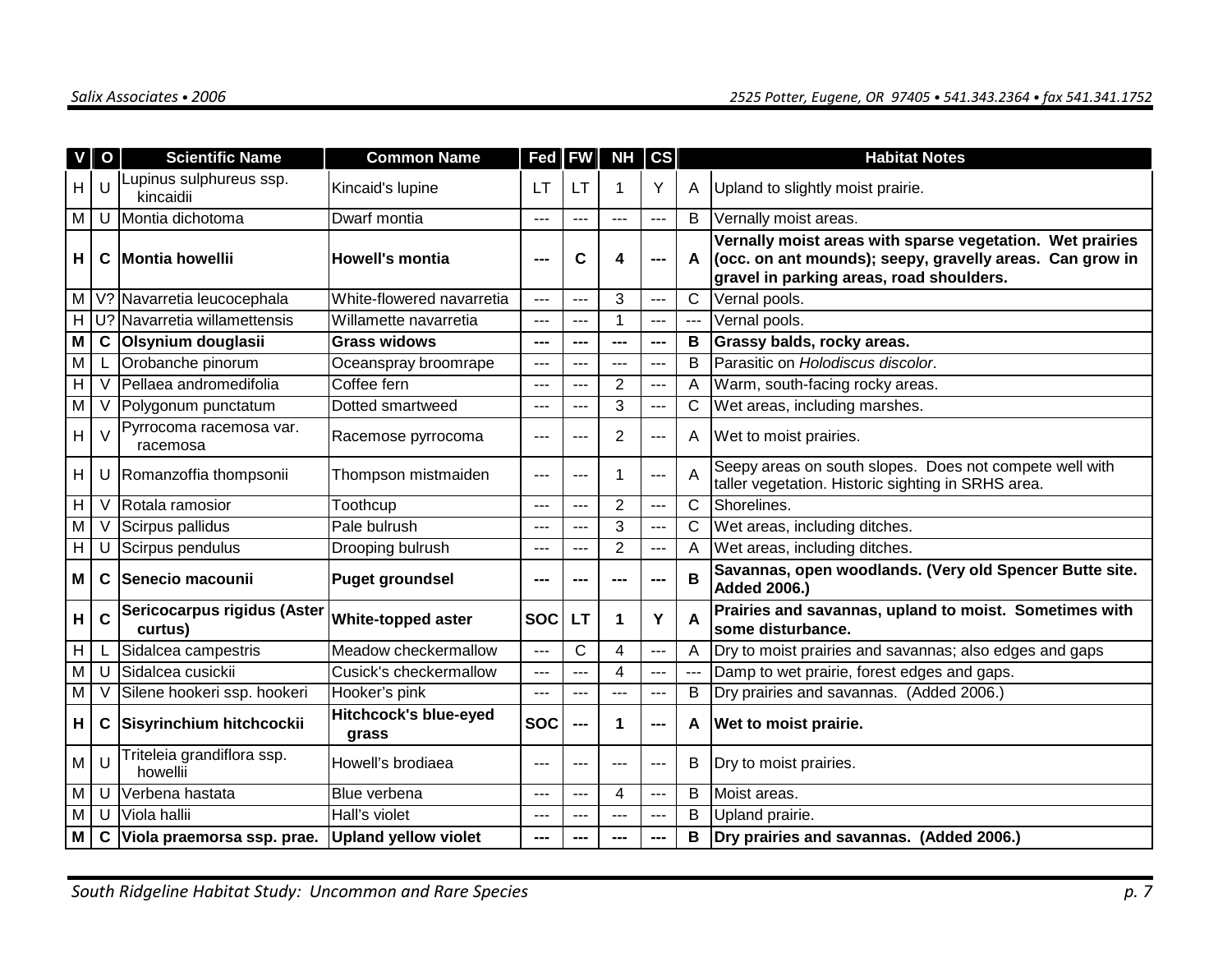| V        | $\mathbf{o}$ | <b>Scientific Name</b>                 | <b>Common Name</b>                    | Fed        | <b>FW</b>    | NH             | $\mathsf{cs}$ |                   | <b>Habitat Notes</b>                                                                                                                                              |  |
|----------|--------------|----------------------------------------|---------------------------------------|------------|--------------|----------------|---------------|-------------------|-------------------------------------------------------------------------------------------------------------------------------------------------------------------|--|
| H.       |              | Lupinus sulphureus ssp.<br>kincaidii   | Kincaid's lupine                      | LТ         | LТ           | $\mathbf 1$    | Y             | A                 | Upland to slightly moist prairie.                                                                                                                                 |  |
| М        |              | U Montia dichotoma                     | Dwarf montia                          | ---        |              | $---$          | ---           | B                 | Vernally moist areas.                                                                                                                                             |  |
| H        | C            | <b>Montia howellii</b>                 | <b>Howell's montia</b>                | ---        | C            | 4              | ---           | A                 | Vernally moist areas with sparse vegetation. Wet prairies<br>(occ. on ant mounds); seepy, gravelly areas. Can grow in<br>gravel in parking areas, road shoulders. |  |
|          |              | M   V? Navarretia leucocephala         | White-flowered navarretia             | $-$ --     | ---          | 3              | ---           | C                 | Vernal pools.                                                                                                                                                     |  |
|          |              | H U? Navarretia willamettensis         | Willamette navarretia                 | $---$      | ---          | 1              | ---           | $--$              | Vernal pools.                                                                                                                                                     |  |
| M        | $\mathbf c$  | Olsynium douglasii                     | <b>Grass widows</b>                   | ---        |              | $\overline{a}$ | ---           | В                 | Grassy balds, rocky areas.                                                                                                                                        |  |
| М        |              | Orobanche pinorum                      | Oceanspray broomrape                  | ---        | ---          | ---            | ---           | B                 | Parasitic on Holodiscus discolor.                                                                                                                                 |  |
| H.       |              | Pellaea andromedifolia                 | Coffee fern                           |            | --           | 2              | ---           | A                 | Warm, south-facing rocky areas.                                                                                                                                   |  |
| М        | V            | Polygonum punctatum                    | Dotted smartweed                      | $---$      | ---          | 3              | $\cdots$      | C                 | Wet areas, including marshes.                                                                                                                                     |  |
| H        |              | Pyrrocoma racemosa var.<br>racemosa    | Racemose pyrrocoma                    | ---        |              | $\overline{2}$ | ---           | A                 | Wet to moist prairies.                                                                                                                                            |  |
| H        |              | U Romanzoffia thompsonii               | Thompson mistmaiden                   | $--$       | ---          | 1              | $\cdots$      | A                 | Seepy areas on south slopes. Does not compete well with<br>taller vegetation. Historic sighting in SRHS area.                                                     |  |
| H        | V            | Rotala ramosior                        | Toothcup                              | ---        | ---          | $\overline{2}$ | ---           | C                 | Shorelines.                                                                                                                                                       |  |
| М        |              | Scirpus pallidus                       | Pale bulrush                          |            |              | 3              | ---           | С                 | Wet areas, including ditches.                                                                                                                                     |  |
| H        |              | Scirpus pendulus                       | Drooping bulrush                      | ---        |              | $\overline{2}$ | ---           | Α                 | Wet areas, including ditches.                                                                                                                                     |  |
| Μ        | C            | Senecio macounii                       | <b>Puget groundsel</b>                | ---        |              | ---            | ---           | B                 | Savannas, open woodlands. (Very old Spencer Butte site.<br><b>Added 2006.)</b>                                                                                    |  |
| H        | $\mathbf c$  | Sericocarpus rigidus (Aster<br>curtus) | White-topped aster                    | <b>SOC</b> | LT           | 1              | Υ             | A                 | Prairies and savannas, upland to moist. Sometimes with<br>some disturbance.                                                                                       |  |
| $H \mid$ |              | Sidalcea campestris                    | Meadow checkermallow                  | ---        | $\mathsf{C}$ | 4              | ---           | A                 | Dry to moist prairies and savannas; also edges and gaps                                                                                                           |  |
| M        | U            | Sidalcea cusickii                      | Cusick's checkermallow                | $---$      | ---          | 4              | ---           | $---$             | Damp to wet prairie, forest edges and gaps.                                                                                                                       |  |
| M        | V            | Silene hookeri ssp. hookeri            | Hooker's pink                         | ---        | ---          | ---            |               | B                 | Dry prairies and savannas. (Added 2006.)                                                                                                                          |  |
| H        | C            | Sisyrinchium hitchcockii               | <b>Hitchcock's blue-eyed</b><br>grass | <b>SOC</b> | ---          | 1              | ---           | A                 | Wet to moist prairie.                                                                                                                                             |  |
| M I      | IJ           | Triteleia grandiflora ssp.<br>howellii | Howell's brodiaea                     | $--$       | ---          | $---$          | ---           | В                 | Dry to moist prairies.                                                                                                                                            |  |
| M        | U            | Verbena hastata                        | Blue verbena                          | ---        | ---          | 4              | ---           | B<br>Moist areas. |                                                                                                                                                                   |  |
| M        | U            | Viola hallii                           | Hall's violet                         |            |              | ---            | ---           | B                 | Upland prairie.                                                                                                                                                   |  |
| M        |              | C Viola praemorsa ssp. prae.           | <b>Upland yellow violet</b>           |            |              | ---            |               | в                 | Dry prairies and savannas. (Added 2006.)                                                                                                                          |  |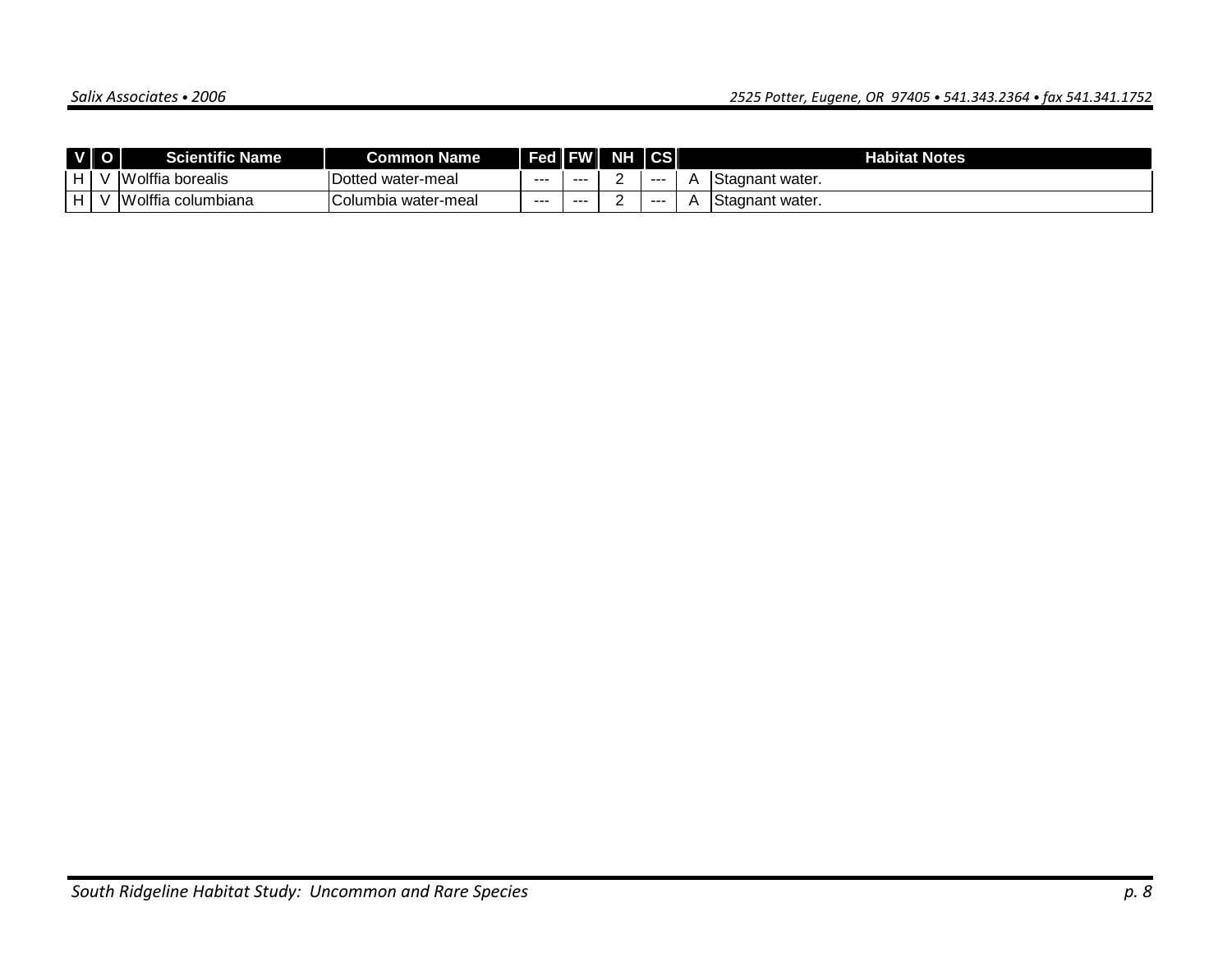|   | V O | icientific M<br>Name   | <b>Common Name</b>        | Fed   FW |       | <b>NHI</b> | <b>CS</b> | <b>Habitat Notes</b>   |
|---|-----|------------------------|---------------------------|----------|-------|------------|-----------|------------------------|
| H |     | Volffia borealis<br>™  | Dotted<br>' water-meal    | ---      | ---   |            | ----      | <b>Stagnant water.</b> |
| H | A.  | Wolffia<br>∟columbiana | ⌒<br>IColumbia water-meal | ---      | $- -$ |            | ----      | <b>Stagnant water.</b> |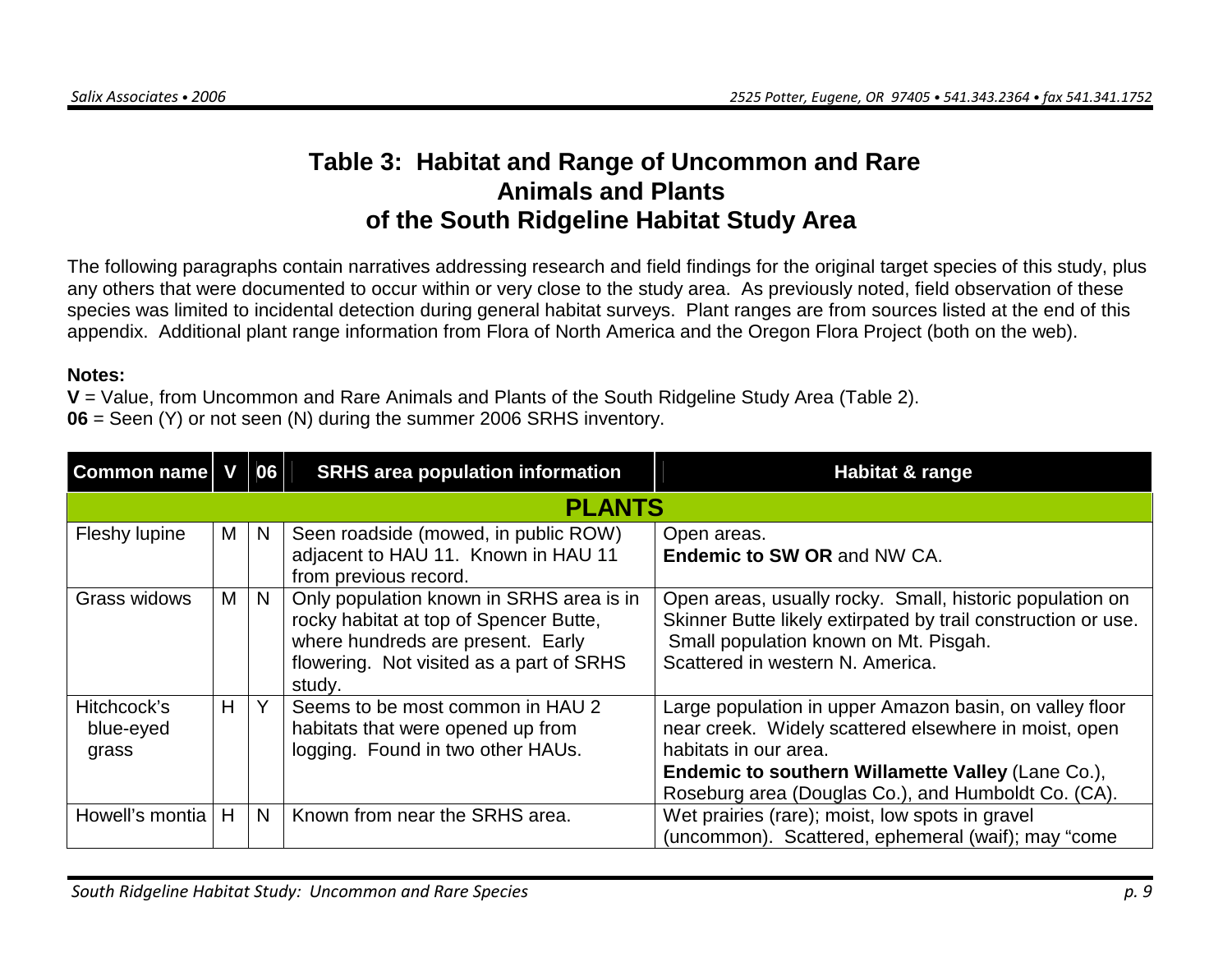# **Table 3: Habitat and Range of Uncommon and Rare Animals and Plants of the South Ridgeline Habitat Study Area**

The following paragraphs contain narratives addressing research and field findings for the original target species of this study, plus any others that were documented to occur within or very close to the study area. As previously noted, field observation of these species was limited to incidental detection during general habitat surveys. Plant ranges are from sources listed at the end of this appendix. Additional plant range information from Flora of North America and the Oregon Flora Project (both on the web).

#### **Notes:**

**V** = Value, from Uncommon and Rare Animals and Plants of the South Ridgeline Study Area (Table 2).

**06** = Seen (Y) or not seen (N) during the summer 2006 SRHS inventory.

| <b>Common name V</b>              |   | 06 | <b>SRHS area population information</b>                                                                                                                                       | Habitat & range                                                                                                                                                                                                                                       |
|-----------------------------------|---|----|-------------------------------------------------------------------------------------------------------------------------------------------------------------------------------|-------------------------------------------------------------------------------------------------------------------------------------------------------------------------------------------------------------------------------------------------------|
|                                   |   |    | <b>PLANTS</b>                                                                                                                                                                 |                                                                                                                                                                                                                                                       |
| Fleshy lupine                     | M | N  | Seen roadside (mowed, in public ROW)<br>adjacent to HAU 11. Known in HAU 11<br>from previous record.                                                                          | Open areas.<br>Endemic to SW OR and NW CA.                                                                                                                                                                                                            |
| Grass widows                      | M | N. | Only population known in SRHS area is in<br>rocky habitat at top of Spencer Butte,<br>where hundreds are present. Early<br>flowering. Not visited as a part of SRHS<br>study. | Open areas, usually rocky. Small, historic population on<br>Skinner Butte likely extirpated by trail construction or use.<br>Small population known on Mt. Pisgah.<br>Scattered in western N. America.                                                |
| Hitchcock's<br>blue-eyed<br>grass | H | Y  | Seems to be most common in HAU 2<br>habitats that were opened up from<br>logging. Found in two other HAUs.                                                                    | Large population in upper Amazon basin, on valley floor<br>near creek. Widely scattered elsewhere in moist, open<br>habitats in our area.<br>Endemic to southern Willamette Valley (Lane Co.),<br>Roseburg area (Douglas Co.), and Humboldt Co. (CA). |
| Howell's montia                   | H | N. | Known from near the SRHS area.                                                                                                                                                | Wet prairies (rare); moist, low spots in gravel<br>(uncommon). Scattered, ephemeral (waif); may "come                                                                                                                                                 |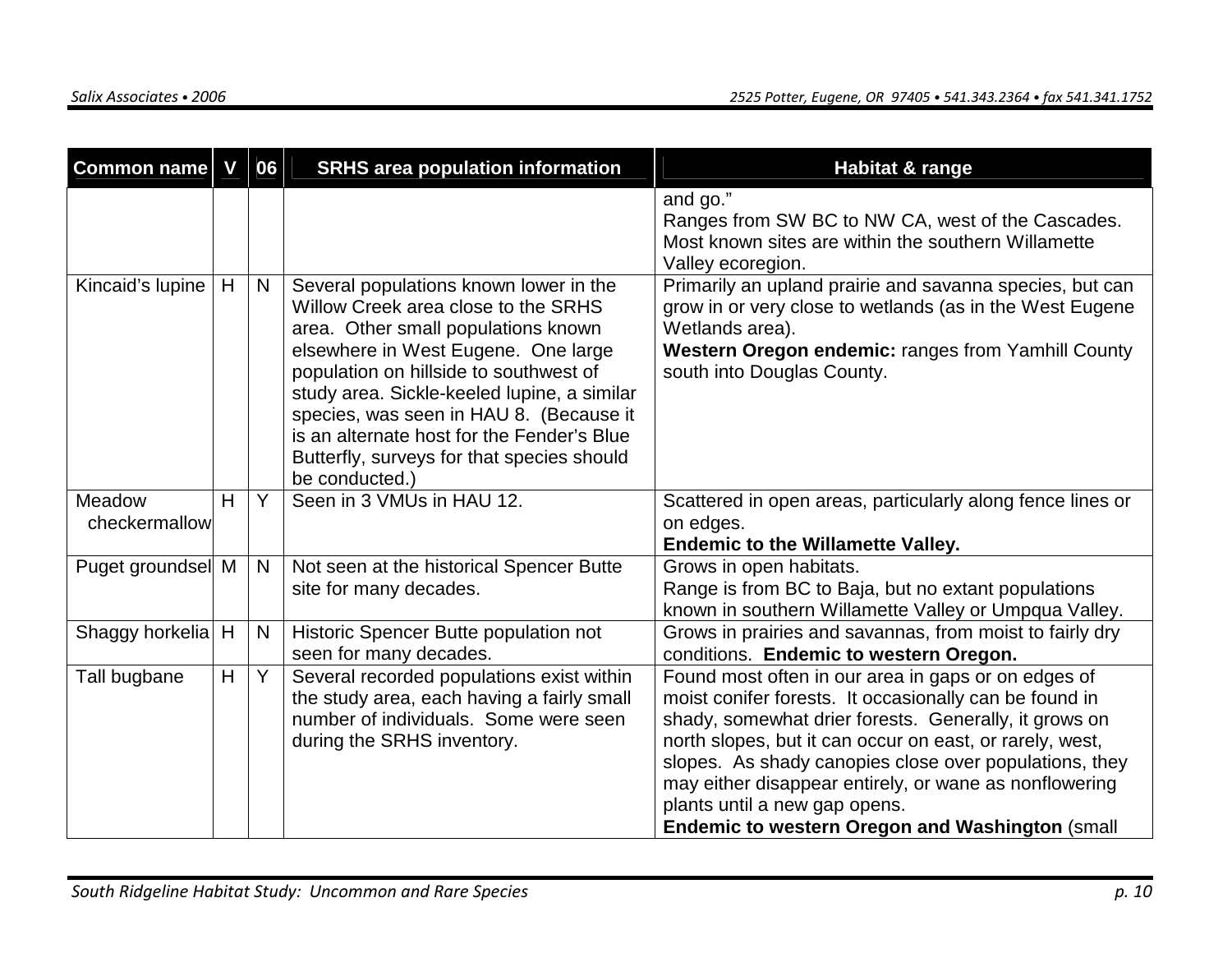| <b>Common name</b>      | V | 06 | <b>SRHS area population information</b>                                                                                                                                                                                                                                                                                                                                                                       | <b>Habitat &amp; range</b>                                                                                                                                                                                                                                                                                                                                                                                                                        |
|-------------------------|---|----|---------------------------------------------------------------------------------------------------------------------------------------------------------------------------------------------------------------------------------------------------------------------------------------------------------------------------------------------------------------------------------------------------------------|---------------------------------------------------------------------------------------------------------------------------------------------------------------------------------------------------------------------------------------------------------------------------------------------------------------------------------------------------------------------------------------------------------------------------------------------------|
|                         |   |    |                                                                                                                                                                                                                                                                                                                                                                                                               | and go."<br>Ranges from SW BC to NW CA, west of the Cascades.<br>Most known sites are within the southern Willamette<br>Valley ecoregion.                                                                                                                                                                                                                                                                                                         |
| Kincaid's lupine        | H | N  | Several populations known lower in the<br>Willow Creek area close to the SRHS<br>area. Other small populations known<br>elsewhere in West Eugene. One large<br>population on hillside to southwest of<br>study area. Sickle-keeled lupine, a similar<br>species, was seen in HAU 8. (Because it<br>is an alternate host for the Fender's Blue<br>Butterfly, surveys for that species should<br>be conducted.) | Primarily an upland prairie and savanna species, but can<br>grow in or very close to wetlands (as in the West Eugene<br>Wetlands area).<br>Western Oregon endemic: ranges from Yamhill County<br>south into Douglas County.                                                                                                                                                                                                                       |
| Meadow<br>checkermallow | H | Y  | Seen in 3 VMUs in HAU 12.                                                                                                                                                                                                                                                                                                                                                                                     | Scattered in open areas, particularly along fence lines or<br>on edges.<br><b>Endemic to the Willamette Valley.</b>                                                                                                                                                                                                                                                                                                                               |
| Puget groundsel M       |   | N  | Not seen at the historical Spencer Butte<br>site for many decades.                                                                                                                                                                                                                                                                                                                                            | Grows in open habitats.<br>Range is from BC to Baja, but no extant populations<br>known in southern Willamette Valley or Umpqua Valley.                                                                                                                                                                                                                                                                                                           |
| Shaggy horkelia H       |   | N  | Historic Spencer Butte population not<br>seen for many decades.                                                                                                                                                                                                                                                                                                                                               | Grows in prairies and savannas, from moist to fairly dry<br>conditions. Endemic to western Oregon.                                                                                                                                                                                                                                                                                                                                                |
| Tall bugbane            | H | Y. | Several recorded populations exist within<br>the study area, each having a fairly small<br>number of individuals. Some were seen<br>during the SRHS inventory.                                                                                                                                                                                                                                                | Found most often in our area in gaps or on edges of<br>moist conifer forests. It occasionally can be found in<br>shady, somewhat drier forests. Generally, it grows on<br>north slopes, but it can occur on east, or rarely, west,<br>slopes. As shady canopies close over populations, they<br>may either disappear entirely, or wane as nonflowering<br>plants until a new gap opens.<br><b>Endemic to western Oregon and Washington (small</b> |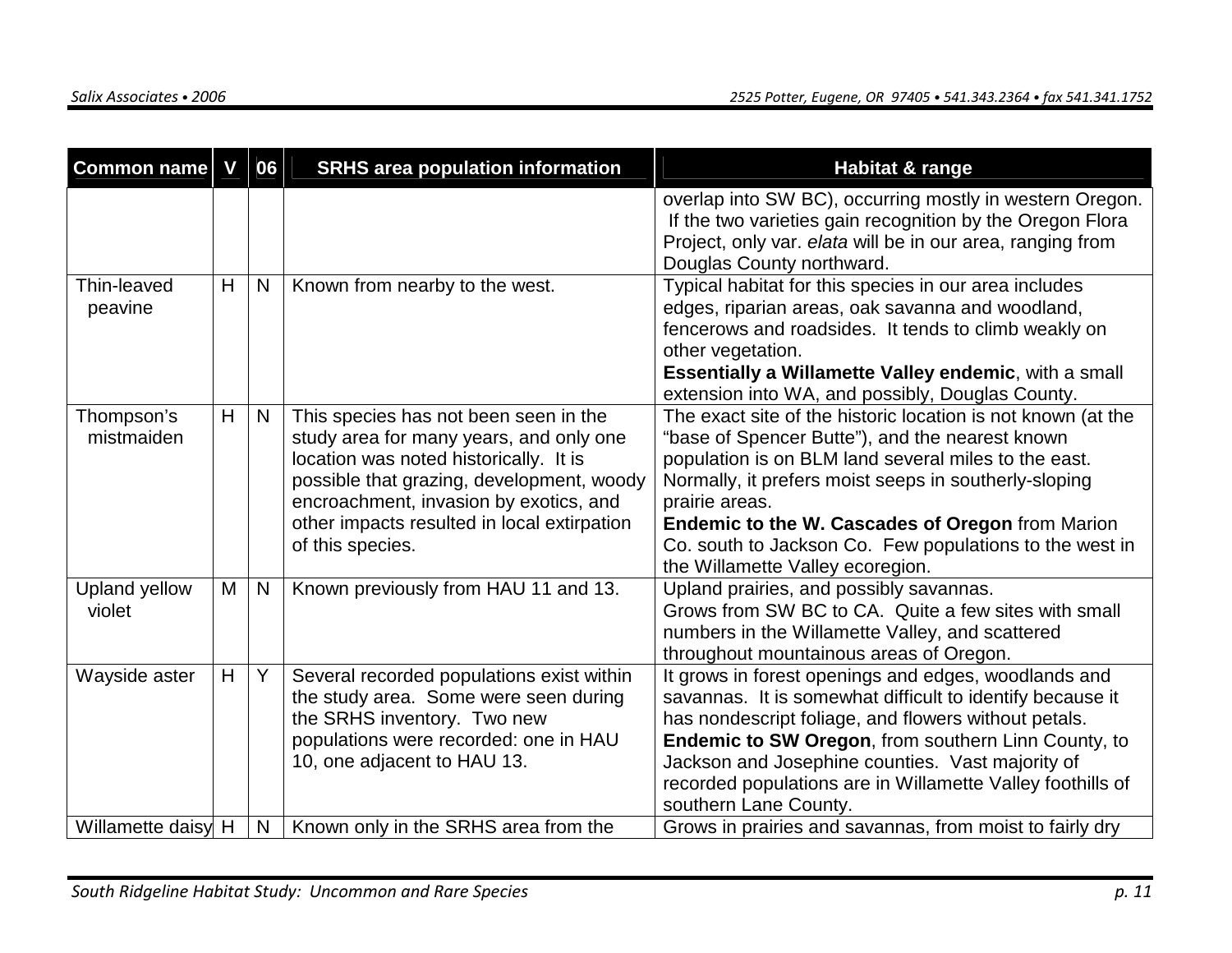| <b>Common name</b>       | V | 06 | <b>SRHS area population information</b>                                                                                                                                                                                                                                              | <b>Habitat &amp; range</b>                                                                                                                                                                                                                                                                                                                                                                                   |
|--------------------------|---|----|--------------------------------------------------------------------------------------------------------------------------------------------------------------------------------------------------------------------------------------------------------------------------------------|--------------------------------------------------------------------------------------------------------------------------------------------------------------------------------------------------------------------------------------------------------------------------------------------------------------------------------------------------------------------------------------------------------------|
|                          |   |    |                                                                                                                                                                                                                                                                                      | overlap into SW BC), occurring mostly in western Oregon.<br>If the two varieties gain recognition by the Oregon Flora<br>Project, only var. elata will be in our area, ranging from<br>Douglas County northward.                                                                                                                                                                                             |
| Thin-leaved<br>peavine   | H | N  | Known from nearby to the west.                                                                                                                                                                                                                                                       | Typical habitat for this species in our area includes<br>edges, riparian areas, oak savanna and woodland,<br>fencerows and roadsides. It tends to climb weakly on<br>other vegetation.<br><b>Essentially a Willamette Valley endemic, with a small</b><br>extension into WA, and possibly, Douglas County.                                                                                                   |
| Thompson's<br>mistmaiden | H | N  | This species has not been seen in the<br>study area for many years, and only one<br>location was noted historically. It is<br>possible that grazing, development, woody<br>encroachment, invasion by exotics, and<br>other impacts resulted in local extirpation<br>of this species. | The exact site of the historic location is not known (at the<br>"base of Spencer Butte"), and the nearest known<br>population is on BLM land several miles to the east.<br>Normally, it prefers moist seeps in southerly-sloping<br>prairie areas.<br><b>Endemic to the W. Cascades of Oregon from Marion</b><br>Co. south to Jackson Co. Few populations to the west in<br>the Willamette Valley ecoregion. |
| Upland yellow<br>violet  | M | N  | Known previously from HAU 11 and 13.                                                                                                                                                                                                                                                 | Upland prairies, and possibly savannas.<br>Grows from SW BC to CA. Quite a few sites with small<br>numbers in the Willamette Valley, and scattered<br>throughout mountainous areas of Oregon.                                                                                                                                                                                                                |
| Wayside aster            | H | Y. | Several recorded populations exist within<br>the study area. Some were seen during<br>the SRHS inventory. Two new<br>populations were recorded: one in HAU<br>10, one adjacent to HAU 13.                                                                                            | It grows in forest openings and edges, woodlands and<br>savannas. It is somewhat difficult to identify because it<br>has nondescript foliage, and flowers without petals.<br>Endemic to SW Oregon, from southern Linn County, to<br>Jackson and Josephine counties. Vast majority of<br>recorded populations are in Willamette Valley foothills of<br>southern Lane County.                                  |
| Willamette daisy H       |   | N  | Known only in the SRHS area from the                                                                                                                                                                                                                                                 | Grows in prairies and savannas, from moist to fairly dry                                                                                                                                                                                                                                                                                                                                                     |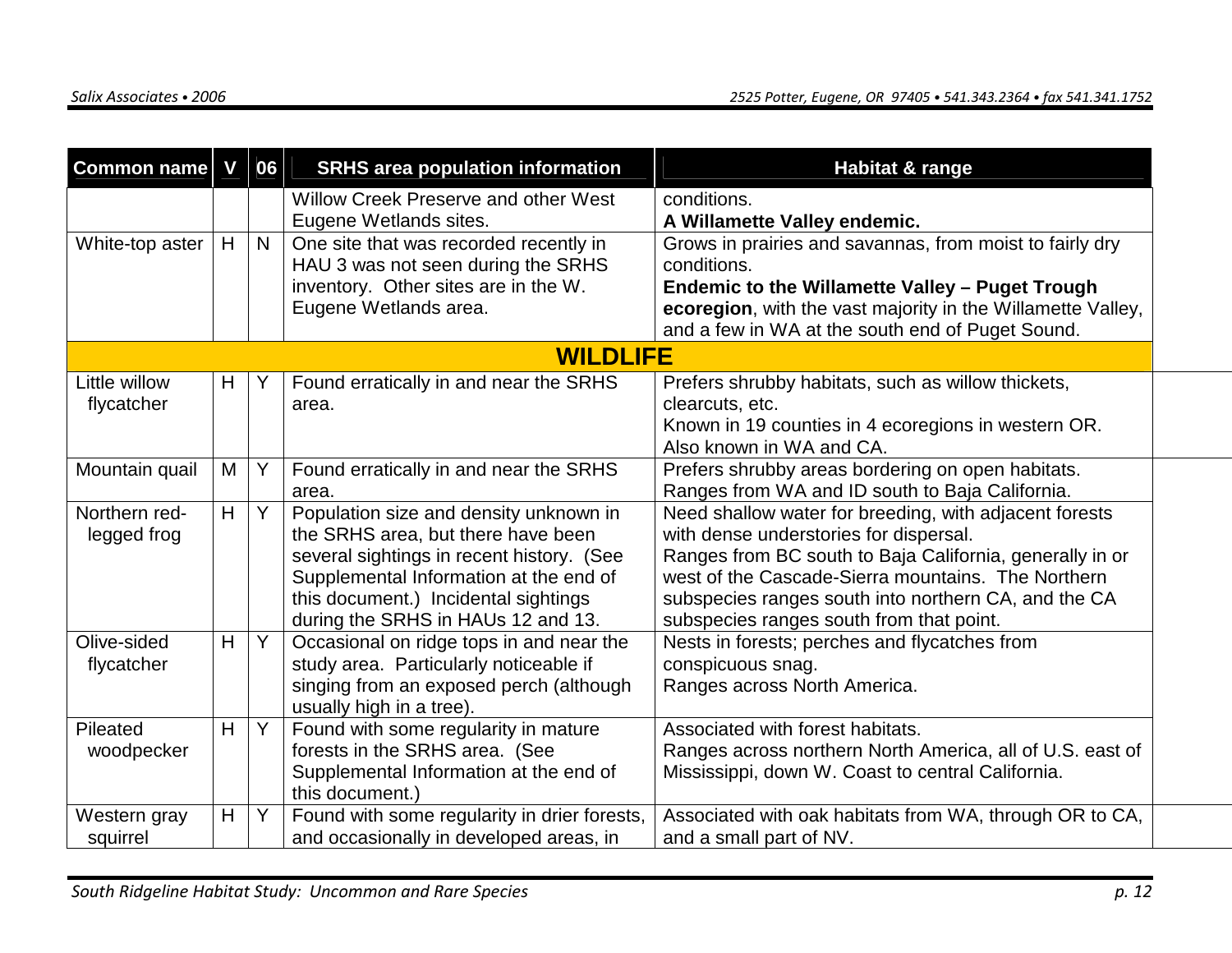| Common name     | V | 06           | <b>SRHS area population information</b>                             | Habitat & range                                             |
|-----------------|---|--------------|---------------------------------------------------------------------|-------------------------------------------------------------|
|                 |   |              | Willow Creek Preserve and other West                                | conditions.                                                 |
|                 |   |              | Eugene Wetlands sites.                                              | A Willamette Valley endemic.                                |
| White-top aster | H | $\mathsf{N}$ | One site that was recorded recently in                              | Grows in prairies and savannas, from moist to fairly dry    |
|                 |   |              | HAU 3 was not seen during the SRHS                                  | conditions.                                                 |
|                 |   |              | inventory. Other sites are in the W.                                | <b>Endemic to the Willamette Valley - Puget Trough</b>      |
|                 |   |              | Eugene Wetlands area.                                               | ecoregion, with the vast majority in the Willamette Valley, |
|                 |   |              |                                                                     | and a few in WA at the south end of Puget Sound.            |
|                 |   |              | <b>WILDLIFE</b>                                                     |                                                             |
| Little willow   | H | Υ            | Found erratically in and near the SRHS                              | Prefers shrubby habitats, such as willow thickets,          |
| flycatcher      |   |              | area.                                                               | clearcuts, etc.                                             |
|                 |   |              |                                                                     | Known in 19 counties in 4 ecoregions in western OR.         |
|                 |   |              |                                                                     | Also known in WA and CA.                                    |
| Mountain quail  | M | Y            | Found erratically in and near the SRHS                              | Prefers shrubby areas bordering on open habitats.           |
|                 |   |              | area.                                                               | Ranges from WA and ID south to Baja California.             |
| Northern red-   | H | Y            | Population size and density unknown in                              | Need shallow water for breeding, with adjacent forests      |
| legged frog     |   |              | the SRHS area, but there have been                                  | with dense understories for dispersal.                      |
|                 |   |              | several sightings in recent history. (See                           | Ranges from BC south to Baja California, generally in or    |
|                 |   |              | Supplemental Information at the end of                              | west of the Cascade-Sierra mountains. The Northern          |
|                 |   |              | this document.) Incidental sightings                                | subspecies ranges south into northern CA, and the CA        |
| Olive-sided     |   | Y            | during the SRHS in HAUs 12 and 13.                                  | subspecies ranges south from that point.                    |
|                 | H |              | Occasional on ridge tops in and near the                            | Nests in forests; perches and flycatches from               |
| flycatcher      |   |              | study area. Particularly noticeable if                              | conspicuous snag.                                           |
|                 |   |              | singing from an exposed perch (although<br>usually high in a tree). | Ranges across North America.                                |
| Pileated        | H | Y            | Found with some regularity in mature                                | Associated with forest habitats.                            |
| woodpecker      |   |              | forests in the SRHS area. (See                                      | Ranges across northern North America, all of U.S. east of   |
|                 |   |              | Supplemental Information at the end of                              | Mississippi, down W. Coast to central California.           |
|                 |   |              | this document.)                                                     |                                                             |
| Western gray    | Η | Y            | Found with some regularity in drier forests,                        | Associated with oak habitats from WA, through OR to CA,     |
| squirrel        |   |              | and occasionally in developed areas, in                             | and a small part of NV.                                     |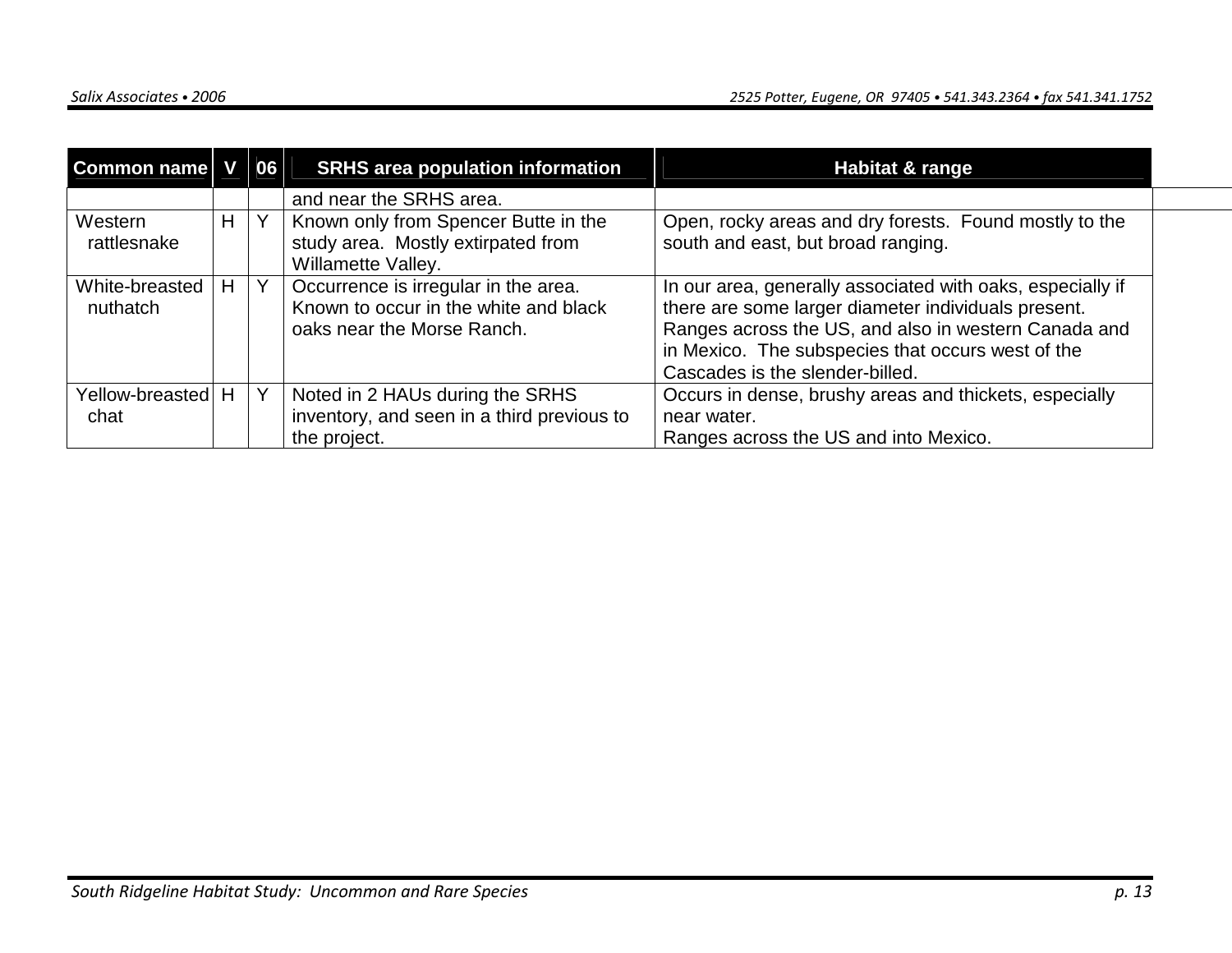| Common name                |    | 06 | <b>SRHS area population information</b>                                                                     | Habitat & range                                                                                                                                                                                                                                                   |  |
|----------------------------|----|----|-------------------------------------------------------------------------------------------------------------|-------------------------------------------------------------------------------------------------------------------------------------------------------------------------------------------------------------------------------------------------------------------|--|
|                            |    |    | and near the SRHS area.                                                                                     |                                                                                                                                                                                                                                                                   |  |
| Western<br>rattlesnake     | H. |    | Known only from Spencer Butte in the<br>study area. Mostly extirpated from<br>Willamette Valley.            | Open, rocky areas and dry forests. Found mostly to the<br>south and east, but broad ranging.                                                                                                                                                                      |  |
| White-breasted<br>nuthatch | H  | Y  | Occurrence is irregular in the area.<br>Known to occur in the white and black<br>oaks near the Morse Ranch. | In our area, generally associated with oaks, especially if<br>there are some larger diameter individuals present.<br>Ranges across the US, and also in western Canada and<br>in Mexico. The subspecies that occurs west of the<br>Cascades is the slender-billed. |  |
| Yellow-breasted H<br>chat  |    |    | Noted in 2 HAUs during the SRHS<br>inventory, and seen in a third previous to<br>the project.               | Occurs in dense, brushy areas and thickets, especially<br>near water.<br>Ranges across the US and into Mexico.                                                                                                                                                    |  |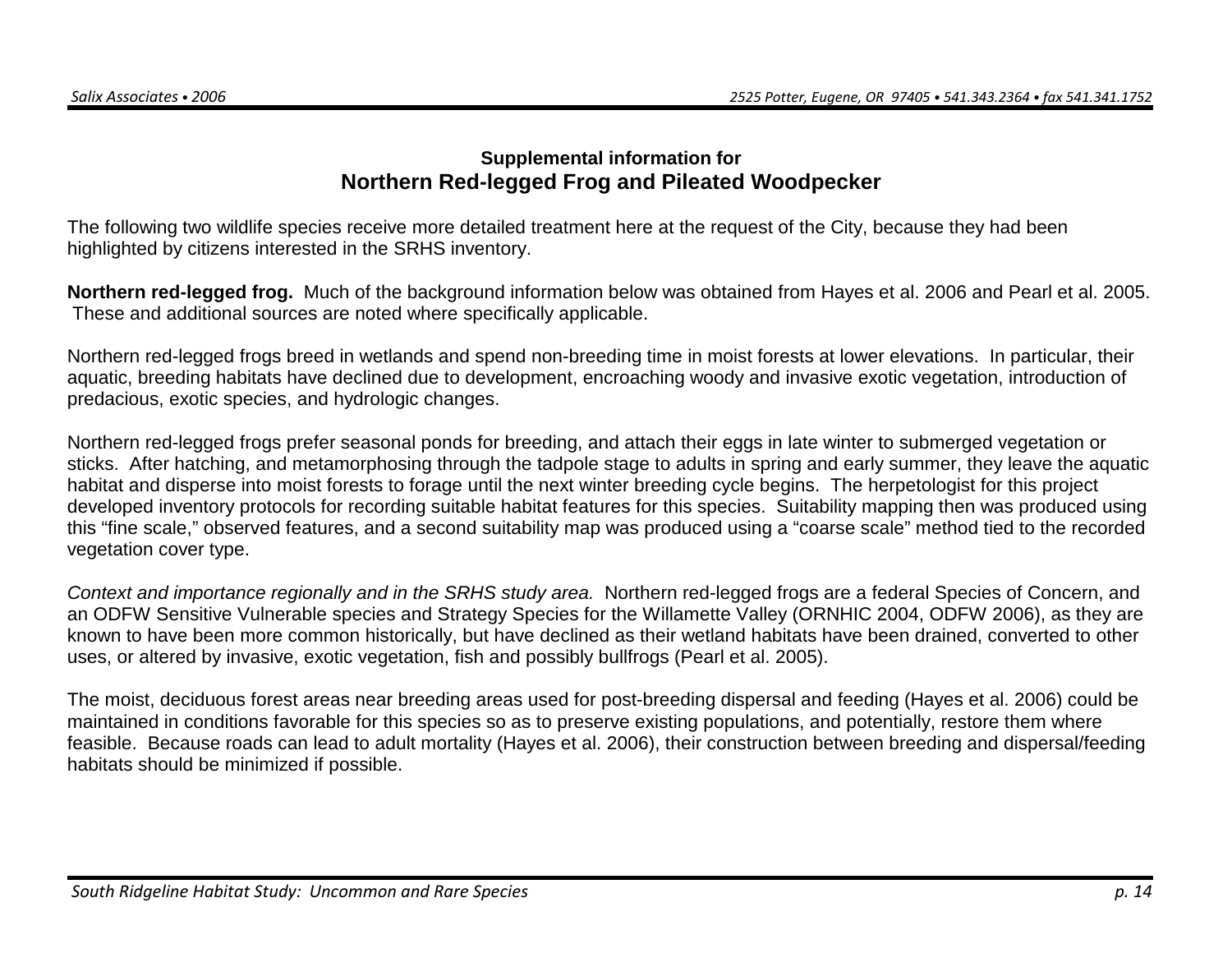#### **Supplemental information for Northern Red-legged Frog and Pileated Woodpecker**

The following two wildlife species receive more detailed treatment here at the request of the City, because they had been highlighted by citizens interested in the SRHS inventory.

**Northern red-legged frog.** Much of the background information below was obtained from Hayes et al. 2006 and Pearl et al. 2005. These and additional sources are noted where specifically applicable.

Northern red-legged frogs breed in wetlands and spend non-breeding time in moist forests at lower elevations. In particular, their aquatic, breeding habitats have declined due to development, encroaching woody and invasive exotic vegetation, introduction of predacious, exotic species, and hydrologic changes.

Northern red-legged frogs prefer seasonal ponds for breeding, and attach their eggs in late winter to submerged vegetation or sticks. After hatching, and metamorphosing through the tadpole stage to adults in spring and early summer, they leave the aquatic habitat and disperse into moist forests to forage until the next winter breeding cycle begins. The herpetologist for this project developed inventory protocols for recording suitable habitat features for this species. Suitability mapping then was produced using this "fine scale," observed features, and a second suitability map was produced using a "coarse scale" method tied to the recorded vegetation cover type.

Context and importance regionally and in the SRHS study area. Northern red-legged frogs are a federal Species of Concern, and an ODFW Sensitive Vulnerable species and Strategy Species for the Willamette Valley (ORNHIC 2004, ODFW 2006), as they are known to have been more common historically, but have declined as their wetland habitats have been drained, converted to other uses, or altered by invasive, exotic vegetation, fish and possibly bullfrogs (Pearl et al. 2005).

The moist, deciduous forest areas near breeding areas used for post-breeding dispersal and feeding (Hayes et al. 2006) could be maintained in conditions favorable for this species so as to preserve existing populations, and potentially, restore them where feasible. Because roads can lead to adult mortality (Hayes et al. 2006), their construction between breeding and dispersal/feeding habitats should be minimized if possible.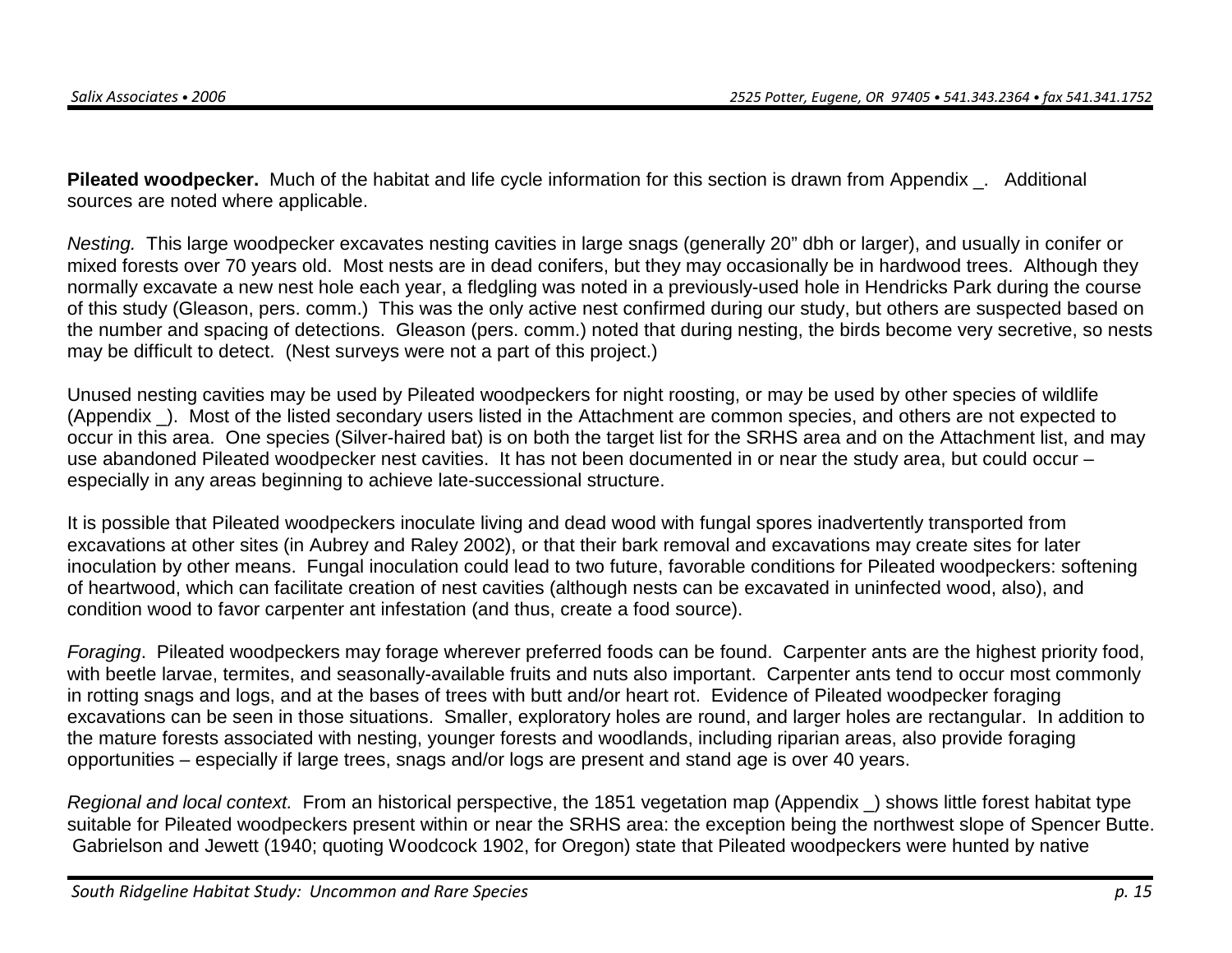**Pileated woodpecker.** Much of the habitat and life cycle information for this section is drawn from Appendix \_. Additional sources are noted where applicable.

Nesting. This large woodpecker excavates nesting cavities in large snags (generally 20" dbh or larger), and usually in conifer or mixed forests over 70 years old. Most nests are in dead conifers, but they may occasionally be in hardwood trees. Although they normally excavate a new nest hole each year, a fledgling was noted in a previously-used hole in Hendricks Park during the course of this study (Gleason, pers. comm.) This was the only active nest confirmed during our study, but others are suspected based on the number and spacing of detections. Gleason (pers. comm.) noted that during nesting, the birds become very secretive, so nests may be difficult to detect. (Nest surveys were not a part of this project.)

Unused nesting cavities may be used by Pileated woodpeckers for night roosting, or may be used by other species of wildlife (Appendix \_). Most of the listed secondary users listed in the Attachment are common species, and others are not expected to occur in this area. One species (Silver-haired bat) is on both the target list for the SRHS area and on the Attachment list, and may use abandoned Pileated woodpecker nest cavities. It has not been documented in or near the study area, but could occur – especially in any areas beginning to achieve late-successional structure.

It is possible that Pileated woodpeckers inoculate living and dead wood with fungal spores inadvertently transported from excavations at other sites (in Aubrey and Raley 2002), or that their bark removal and excavations may create sites for later inoculation by other means. Fungal inoculation could lead to two future, favorable conditions for Pileated woodpeckers: softening of heartwood, which can facilitate creation of nest cavities (although nests can be excavated in uninfected wood, also), and condition wood to favor carpenter ant infestation (and thus, create a food source).

Foraging. Pileated woodpeckers may forage wherever preferred foods can be found. Carpenter ants are the highest priority food, with beetle larvae, termites, and seasonally-available fruits and nuts also important. Carpenter ants tend to occur most commonly in rotting snags and logs, and at the bases of trees with butt and/or heart rot. Evidence of Pileated woodpecker foraging excavations can be seen in those situations. Smaller, exploratory holes are round, and larger holes are rectangular. In addition to the mature forests associated with nesting, younger forests and woodlands, including riparian areas, also provide foraging opportunities – especially if large trees, snags and/or logs are present and stand age is over 40 years.

Regional and local context. From an historical perspective, the 1851 vegetation map (Appendix \_) shows little forest habitat type suitable for Pileated woodpeckers present within or near the SRHS area: the exception being the northwest slope of Spencer Butte. Gabrielson and Jewett (1940; quoting Woodcock 1902, for Oregon) state that Pileated woodpeckers were hunted by native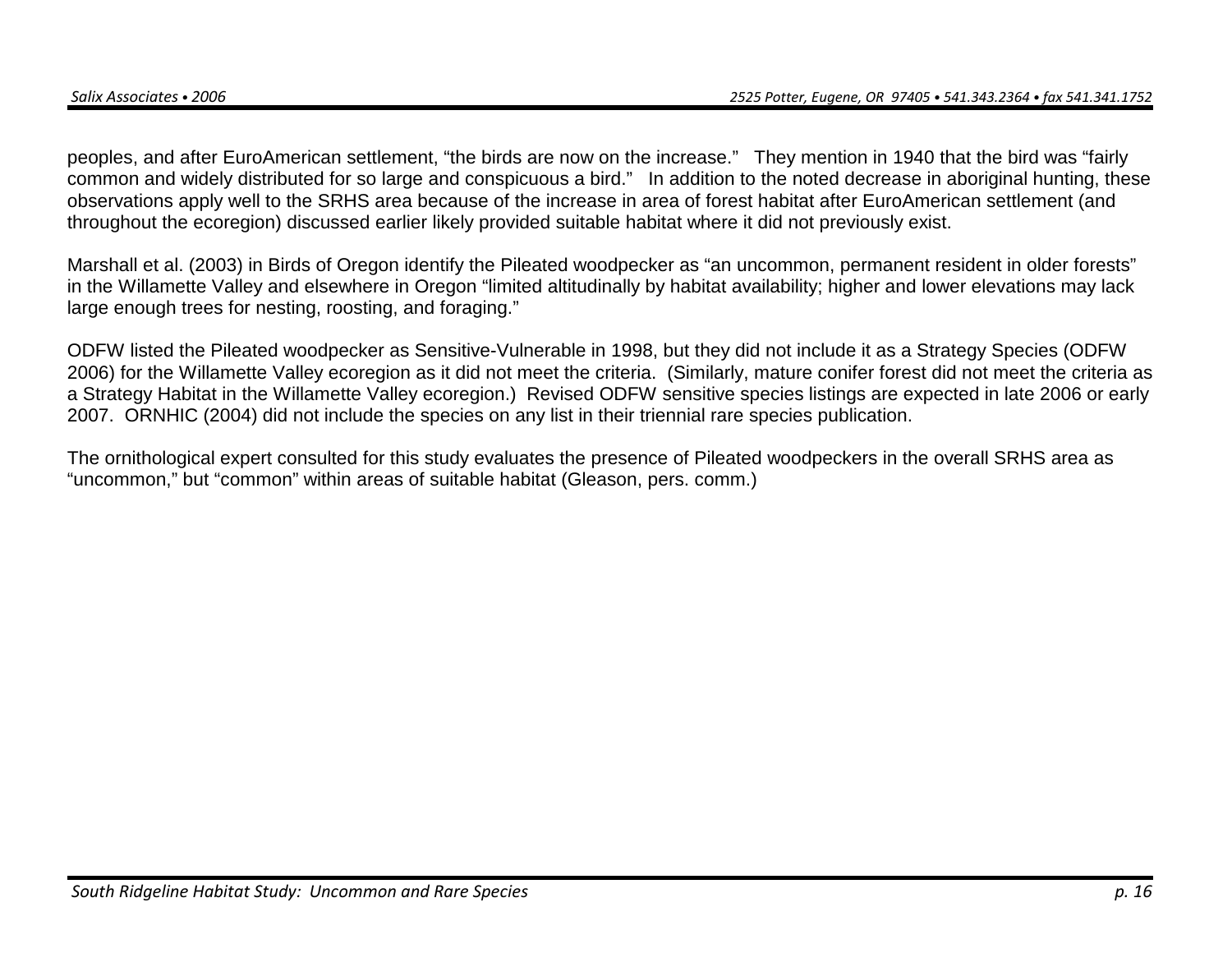peoples, and after EuroAmerican settlement, "the birds are now on the increase." They mention in 1940 that the bird was "fairly common and widely distributed for so large and conspicuous a bird." In addition to the noted decrease in aboriginal hunting, these observations apply well to the SRHS area because of the increase in area of forest habitat after EuroAmerican settlement (and throughout the ecoregion) discussed earlier likely provided suitable habitat where it did not previously exist.

Marshall et al. (2003) in Birds of Oregon identify the Pileated woodpecker as "an uncommon, permanent resident in older forests" in the Willamette Valley and elsewhere in Oregon "limited altitudinally by habitat availability; higher and lower elevations may lack large enough trees for nesting, roosting, and foraging."

ODFW listed the Pileated woodpecker as Sensitive-Vulnerable in 1998, but they did not include it as a Strategy Species (ODFW 2006) for the Willamette Valley ecoregion as it did not meet the criteria. (Similarly, mature conifer forest did not meet the criteria as a Strategy Habitat in the Willamette Valley ecoregion.) Revised ODFW sensitive species listings are expected in late 2006 or early 2007. ORNHIC (2004) did not include the species on any list in their triennial rare species publication.

The ornithological expert consulted for this study evaluates the presence of Pileated woodpeckers in the overall SRHS area as "uncommon," but "common" within areas of suitable habitat (Gleason, pers. comm.)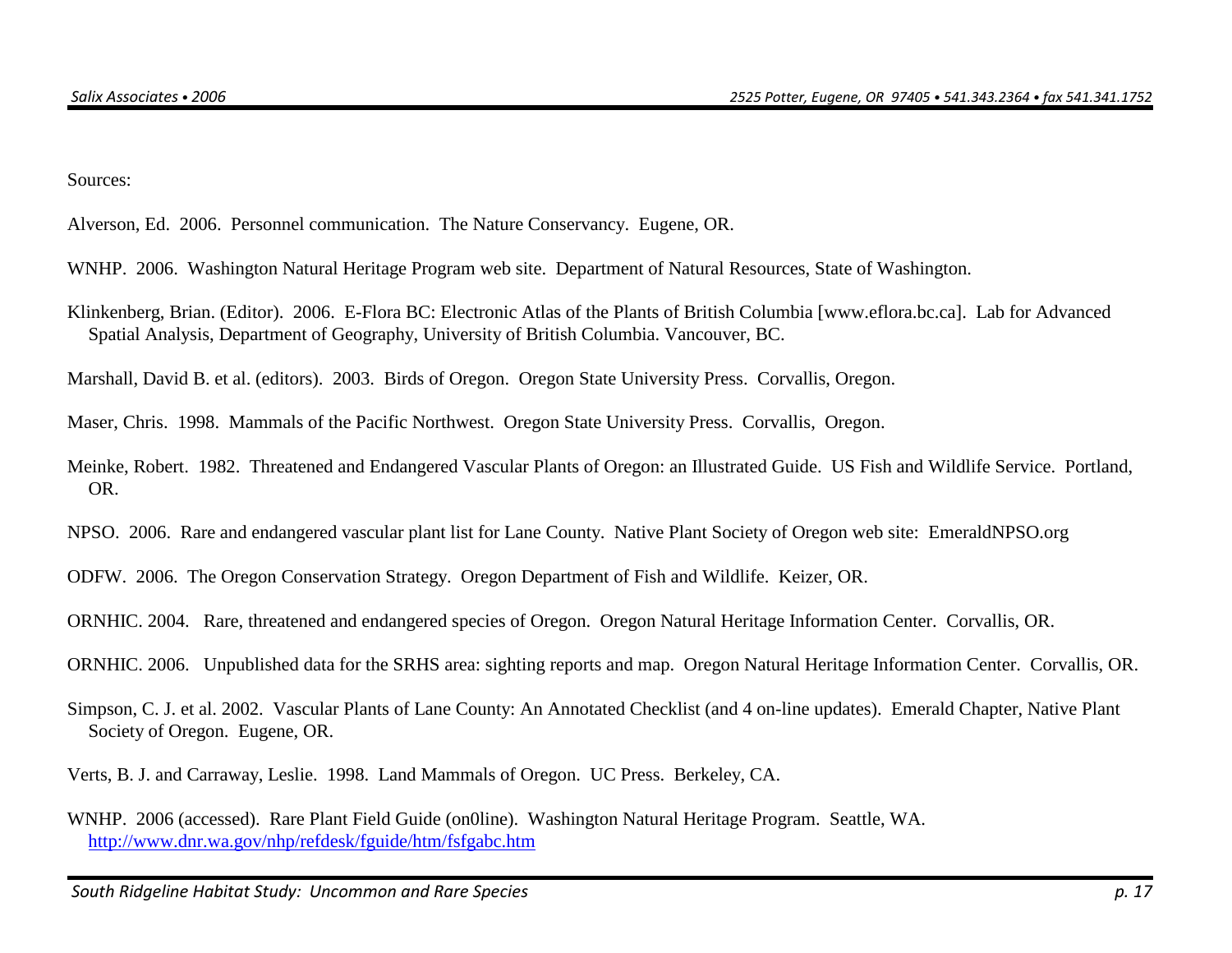Sources:

Alverson, Ed. 2006. Personnel communication. The Nature Conservancy. Eugene, OR.

WNHP. 2006. Washington Natural Heritage Program web site. Department of Natural Resources, State of Washington.

Klinkenberg, Brian. (Editor). 2006. E-Flora BC: Electronic Atlas of the Plants of British Columbia [www.eflora.bc.ca]. Lab for Advanced Spatial Analysis, Department of Geography, University of British Columbia. Vancouver, BC.

Marshall, David B. et al. (editors). 2003. Birds of Oregon. Oregon State University Press. Corvallis, Oregon.

Maser, Chris. 1998. Mammals of the Pacific Northwest. Oregon State University Press. Corvallis, Oregon.

Meinke, Robert. 1982. Threatened and Endangered Vascular Plants of Oregon: an Illustrated Guide. US Fish and Wildlife Service. Portland, OR.

NPSO. 2006. Rare and endangered vascular plant list for Lane County. Native Plant Society of Oregon web site: EmeraldNPSO.org

ODFW. 2006. The Oregon Conservation Strategy. Oregon Department of Fish and Wildlife. Keizer, OR.

ORNHIC. 2004. Rare, threatened and endangered species of Oregon. Oregon Natural Heritage Information Center. Corvallis, OR.

ORNHIC. 2006. Unpublished data for the SRHS area: sighting reports and map. Oregon Natural Heritage Information Center. Corvallis, OR.

Simpson, C. J. et al. 2002. Vascular Plants of Lane County: An Annotated Checklist (and 4 on-line updates). Emerald Chapter, Native Plant Society of Oregon. Eugene, OR.

Verts, B. J. and Carraway, Leslie. 1998. Land Mammals of Oregon. UC Press. Berkeley, CA.

WNHP. 2006 (accessed). Rare Plant Field Guide (on0line). Washington Natural Heritage Program. Seattle, WA. http://www.dnr.wa.gov/nhp/refdesk/fguide/htm/fsfgabc.htm